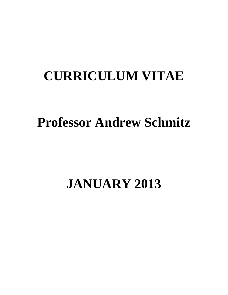# **CURRICULUM VITAE**

# **Professor Andrew Schmitz**

# **JANUARY 2013**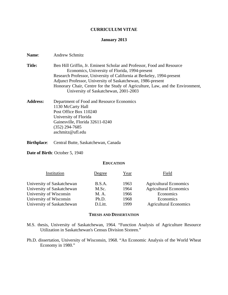#### **CURRICULUM VITAE**

#### **January 2013**

**Name**: Andrew Schmitz

- **Title:** Ben Hill Griffin, Jr. Eminent Scholar and Professor, Food and Resource Economics, University of Florida, 1994-present Research Professor, University of California at Berkeley, 1994-present Adjunct Professor, University of Saskatchewan, 1986-present Honorary Chair, Centre for the Study of Agriculture, Law, and the Environment, University of Saskatchewan, 2001-2003
- **Address:** Department of Food and Resource Economics 1130 McCarty Hall Post Office Box 110240 University of Florida Gainesville, Florida 32611-0240 (352) 294-7685 aschmitz@ufl.edu
- **Birthplace**: Central Butte, Saskatchewan, Canada

**Date of Birth**: October 5, 1940

#### **EDUCATION**

| Institution                | Degree  | Year | Field                         |
|----------------------------|---------|------|-------------------------------|
| University of Saskatchewan | B.S.A.  | 1963 | <b>Agricultural Economics</b> |
| University of Saskatchewan | M.Sc.   | 1964 | <b>Agricultural Economics</b> |
| University of Wisconsin    | M. A.   | 1966 | Economics                     |
| University of Wisconsin    | Ph.D.   | 1968 | Economics                     |
| University of Saskatchewan | D.Litt. | 1999 | <b>Agricultural Economics</b> |

#### **THESIS AND DISSERTATION**

- M.S. thesis, University of Saskatchewan, 1964. "Function Analysis of Agriculture Resource Utilization in Saskatchewan's Census Division Sixteen."
- Ph.D. dissertation, University of Wisconsin, 1968. "An Economic Analysis of the World Wheat Economy in 1980."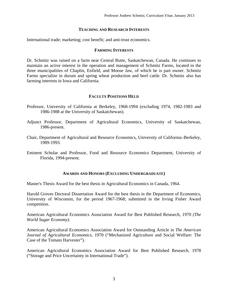#### **TEACHING AND RESEARCH INTERESTS**

International trade; marketing; cost benefit; and anti-trust economics.

#### **FARMING INTERESTS**

Dr. Schmitz was raised on a farm near Central Butte, Saskatchewan, Canada. He continues to maintain an active interest in the operation and management of Schmitz Farms, located in the three municipalities of Chaplin, Enfield, and Moose Jaw, of which he is part owner. Schmitz Farms specialize in durum and spring wheat production and beef cattle. Dr. Schmitz also has farming interests in Iowa and California.

#### **FACULTY POSITIONS HELD**

- Professor, University of California at Berkeley, 1968-1994 (excluding 1974, 1982-1983 and 1986-1988 at the University of Saskatchewan).
- Adjunct Professor, Department of Agricultural Economics, University of Saskatchewan, 1986-present.
- Chair, Department of Agricultural and Resource Economics, University of California–Berkeley, 1989-1993.
- Eminent Scholar and Professor, Food and Resource Economics Department, University of Florida, 1994-present.

#### **AWARDS AND HONORS (EXCLUDING UNDERGRADUATE)**

Master's Thesis Award for the best thesis in Agricultural Economics in Canada, 1964.

Harold Groves Doctoral Dissertation Award for the best thesis in the Department of Economics, University of Wisconsin, for the period 1967-1968; submitted in the Irving Fisher Award competition.

American Agricultural Economics Association Award for Best Published Research, 1970 *(The World Sugar Economy)*.

American Agricultural Economics Association Award for Outstanding Article in *The American Journal of Agricultural Economics*, 1970 ("Mechanized Agriculture and Social Welfare: The Case of the Tomato Harvester").

American Agricultural Economics Association Award for Best Published Research, 1978 ("Storage and Price Uncertainty in International Trade").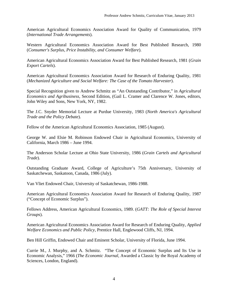American Agricultural Economics Association Award for Quality of Communication, 1979 (*International Trade Arrangements*).

Western Agricultural Economics Association Award for Best Published Research, 1980 (*Consumer's Surplus, Price Instability, and Consumer Welfare*).

American Agricultural Economics Association Award for Best Published Research, 1981 (*Grain Export Cartels*).

American Agricultural Economics Association Award for Research of Enduring Quality, 1981 (*Mechanized Agriculture and Social Welfare: The Case of the Tomato Harvester*).

Special Recognition given to Andrew Schmitz as "An Outstanding Contributor," in *Agricultural Economics and Agribusiness*, Second Edition, (Gail L. Cramer and Clarence W. Jones, editors, John Wiley and Sons, New York, NY, 1982.

The J.C. Snyder Memorial Lecture at Purdue University, 1983 (*North America's Agricultural Trade and the Policy Debate*).

Fellow of the American Agricultural Economics Association, 1985 (August).

George W. and Elsie M. Robinson Endowed Chair in Agricultural Economics, University of California, March 1986 – June 1994.

The Anderson Scholar Lecture at Ohio State University, 1986 (*Grain Cartels and Agricultural Trade*).

Outstanding Graduate Award, College of Agriculture's 75th Anniversary, University of Saskatchewan, Saskatoon, Canada, 1986 (July).

Van Vliet Endowed Chair, University of Saskatchewan, 1986-1988.

American Agricultural Economics Association Award for Research of Enduring Quality, 1987 ("Concept of Economic Surplus").

Fellows Address, American Agricultural Economics, 1989. (*GATT: The Role of Special Interest Groups*).

American Agricultural Economics Association Award for Research of Enduring Quality, *Applied Welfare Economics and Public Policy*, Prentice Hall, Englewood Cliffs, NJ, 1994.

Ben Hill Griffin, Endowed Chair and Eminent Scholar, University of Florida, June 1994.

Currie M., J. Murphy, and A. Schmitz. "The Concept of Economic Surplus and Its Use in Economic Analysis," 1966 (*The Economic Journal*, Awarded a Classic by the Royal Academy of Sciences, London, England).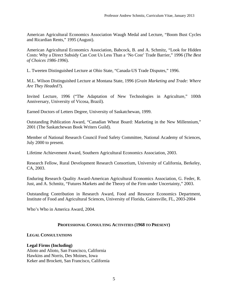American Agricultural Economics Association Waugh Medal and Lecture, "Boom Bust Cycles and Ricardian Rents," 1995 (August).

American Agricultural Economics Association, Babcock, B. and A. Schmitz, "Look for Hidden Costs: Why a Direct Subsidy Can Cost Us Less Than a 'No Cost' Trade Barrier," 1996 (*The Best of Choices 1986-1996*).

L. Tweeten Distinguished Lecture at Ohio State, "Canada-US Trade Disputes," 1996.

M.L. Wilson Distinguished Lecture at Montana State, 1996 (*Grain Marketing and Trade: Where Are They Headed?*).

Invited Lecture, 1996 ("The Adaptation of New Technologies in Agriculture," 100th Anniversary, University of Vicosa, Brazil).

Earned Doctors of Letters Degree, University of Saskatchewan, 1999.

Outstanding Publication Award, "Canadian Wheat Board: Marketing in the New Millennium," 2001 (The Saskatchewan Book Writers Guild).

Member of National Research Council Food Safety Committee, National Academy of Sciences, July 2000 to present.

Lifetime Achievement Award, Southern Agricultural Economics Association, 2003.

Research Fellow, Rural Development Research Consortium, University of California, Berkeley, CA, 2003.

Enduring Research Quality Award-American Agricultural Economics Association, G. Feder, R. Just, and A. Schmitz, "Futures Markets and the Theory of the Firm under Uncertainty," 2003.

Outstanding Contribution in Research Award, Food and Resource Economics Department, Institute of Food and Agricultural Sciences, University of Florida, Gainesville, FL, 2003-2004

Who's Who in America Award, 2004.

#### **PROFESSIONAL CONSULTING ACTIVITIES (1968 TO PRESENT)**

#### **LEGAL CONSULTATIONS**

#### **Legal Firms (Including)**

Alioto and Alioto, San Francisco, California Hawkins and Norris, Des Moines, Iowa Keker and Brockett, San Francisco, California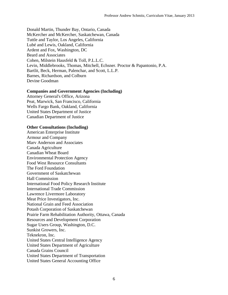Donald Martin, Thunder Bay, Ontario, Canada McKercher and McKercher, Saskatchewan, Canada Tuttle and Taylor, Los Angeles, California Lubé and Lewis, Oakland, California Ardent and Fox, Washington, DC Beard and Associates Cohen, Milstein Hausfeld & Toll, P.L.L.C. Levin, Middlebrooks, Thomas, Mitchell, Echsner. Proctor & Papantonio, P.A. Bartlit, Beck, Herman, Palenchar, and Scott, L.L.P. Barnes, Richardson, and Colburn Devine Goodman

#### **Companies and Government Agencies (Including)**

Attorney General's Office, Arizona Peat, Marwick, San Francisco, California Wells Fargo Bank, Oakland, California United States Department of Justice Canadian Department of Justice

#### **Other Consultations (Including)**

American Enterprise Institute Armour and Company Marv Anderson and Associates Canada Agriculture Canadian Wheat Board Environmental Protection Agency Food West Resource Consultants The Ford Foundation Government of Saskatchewan Hall Commission International Food Policy Research Institute International Trade Commission Lawrence Livermore Laboratory Meat Price Investigators, Inc. National Grain and Feed Association Potash Corporation of Saskatchewan Prairie Farm Rehabilitation Authority, Ottawa, Canada Resources and Development Corporation Sugar Users Group, Washington, D.C. Sunkist Growers, Inc. Teknekron, Inc. United States Central Intelligence Agency United States Department of Agriculture Canada Grains Council United States Department of Transportation United States General Accounting Office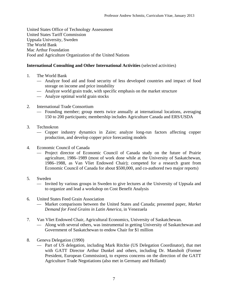United States Office of Technology Assessment United States Tariff Commission Uppsala University, Sweden The World Bank Mac Arthur Foundation Food and Agriculture Organization of the United Nations

## **International Consulting and Other International Activities** (selected activities)

- 1. The World Bank
	- Analyze food aid and food security of less developed countries and impact of food storage on income and price instability
	- Analyze world grain trade, with specific emphasis on the market structure
	- Analyze optimal world grain stocks
- 2. International Trade Consortium
	- Founding member; group meets twice annually at international locations, averaging 150 to 200 participants; membership includes Agriculture Canada and ERS/USDA
- 3. Technokron
	- Copper industry dynamics in Zaire; analyze long-run factors affecting copper production, and develop copper price forecasting models
- 4. Economic Council of Canada
	- Project director of Economic Council of Canada study on the future of Prairie agriculture, 1986–1989 (most of work done while at the University of Saskatchewan, 1986–1988, as Van Vliet Endowed Chair); competed for a research grant from Economic Council of Canada for about \$500,000, and co-authored two major reports)
- 5. Sweden
	- Invited by various groups in Sweden to give lectures at the University of Uppsala and to organize and lead a workshop on Cost Benefit Analysis
- 6. United States Feed Grain Association
	- Market comparisons between the United States and Canada; presented paper, *Market Demand for Feed Grains in Latin America*, in Venezuela
- 7. Van Vliet Endowed Chair, Agricultural Economics, University of Saskatchewan.
	- Along with several others, was instrumental in getting University of Saskatchewan and Government of Saskatchewan to endow Chair for \$1 million
- 8. Geneva Delegation (1990)
	- Part of US delegation, including Mark Ritchie (US Delegation Coordinator), that met with GATT Director Arthur Dunkel and others, including Dr. Mansholt (Former President, European Commission), to express concerns on the direction of the GATT Agriculture Trade Negotiations (also met in Germany and Holland)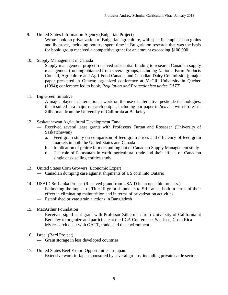- 9. United States Information Agency (Bulgarian Project)
	- Wrote book on privatization of Bulgarian agriculture, with specific emphasis on grains and livestock, including poultry; spent time in Bulgaria on research that was the basis for book; group received a competitive grant for an amount exceeding \$100,000
- 10. Supply Management in Canada
	- Supply management project; received substantial funding to research Canadian supply management (funding obtained from several groups, including National Farm Products Council, Agriculture and Agri-Food Canada, and Canadian Dairy Commission); major paper presented in Ottawa; organized conference at McGill University in Québec (1994); conference led to book, *Regulation and Protectionism under GATT*
- 11. Big Green Initiative
	- A major player in international work on the use of alternative pesticide technologies; this resulted in a major research output, including our paper in *Science* with Professor Zilberman from the University of California at Berkeley
- 12. Saskatchewan Agricultural Development Fund
	- Received several large grants with Professors Furtan and Rosaasen (University of Saskatchewan)
		- a. Feed grain study on comparison of feed grain prices and efficiency of feed grain markets in both the United States and Canada
		- b. Implication of prairie farmers pulling out of Canadian Supply Management study
		- c. The role of Parastatals in world agricultural trade and their effects on Canadian single desk selling entities study
- 13. United States Corn Growers' Economic Expert
	- Canadian dumping case against shipments of US corn into Ontario
- 14. USAID Sri Lanka Project (Received grant from USAID in an open bid process.)
	- Estimating the impact of Title III grain shipments to Sri Lanka, both in terms of their effect in eliminating malnutrition and in terms of privatization activities
	- Established private grain auctions in Bangladesh
- 15. MacArthur Foundation
	- Received significant grant with Professor Zilberman from University of California at Berkeley to organize and participate at the IICA Conference, San Jose, Costa Rica
	- My research dealt with GATT, trade, and the environment
- 16. Israel (Bard Project)
	- Grain storage in less developed countries
- 17. United States Beef Export Opportunities in Japan.
	- Extensive work in Japan sponsored by several groups, including private cattle sector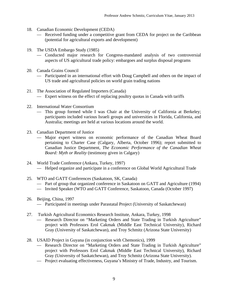- 18. Canadian Economic Development (CEDA)
	- Received funding under a competitive grant from CEDA for project on the Caribbean (potential for agricultural exports and development)
- 19. The USDA Embargo Study (1985)
	- Conducted major research for Congress-mandated analysis of two controversial aspects of US agricultural trade policy: embargoes and surplus disposal programs
- 20. Canada Grains Council
	- Participated in an international effort with Doug Campbell and others on the impact of US trade and agricultural policies on world grain trading nations
- 21. The Association of Regulated Importers (Canada)
	- Expert witness on the effect of replacing poultry quotas in Canada with tariffs
- 22. International Water Consortium
	- This group formed while I was Chair at the University of California at Berkeley; participants included various Israeli groups and universities in Florida, California, and Australia; meetings are held at various locations around the world.
- 23. Canadian Department of Justice
	- Major expert witness on economic performance of the Canadian Wheat Board pertaining to Charter Case (Calgary, Alberta, October 1996); report submitted to Canadian Justice Department, *The Economic Performance of the Canadian Wheat Board: Myth or Reality* (testimony given in Calgary)
- 24. World Trade Conference (Ankara, Turkey, 1997) — Helped organize and participate in a conference on Global World Agricultural Trade
- 25. WTO and GATT Conferences (Saskatoon, SK, Canada)
	- Part of group that organized conference in Saskatoon on GATT and Agriculture (1994)
	- Invited Speaker (WTO and GATT Conference, Saskatoon, Canada (October 1997)
- 26. Beijing, China, 1997
	- Participated in meetings under Parastatal Project (University of Saskatchewan)
- 27. Turkish Agricultural Economics Research Institute, Ankara, Turkey, 1998
	- Research Director on "Marketing Orders and State Trading in Turkish Agriculture" project with Professors Erol Cakmak (Middle East Technical University), Richard Gray (University of Saskatchewan), and Troy Schmitz (Arizona State University)
- 28. USAID Project in Guyana (in conjunction with Chemonics), 1999
	- Research Director on "Marketing Orders and State Trading in Turkish Agriculture" project with Professors Erol Cakmak (Middle East Technical University), Richard Gray (University of Saskatchewan), and Troy Schmitz (Arizona State University).
	- Project evaluating effectiveness, Guyana's Ministry of Trade, Industry, and Tourism.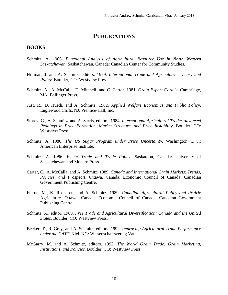# **PUBLICATIONS**

### **BOOKS**

- Schmitz, A. 1966. *Functional Analysis of Agricultural Resource Use in North Western Saskatchewan*. Saskatchewan, Canada: Canadian Center for Community Studies.
- Hillman, J. and A. Schmitz, editors. 1979. *International Trade and Agriculture: Theory and Policy*. Boulder, CO: Westview Press.
- Schmitz, A., A. McCalla, D. Mitchell, and C. Carter. 1981. *Grain Export Cartels*. Cambridge, MA: Ballinger Press.
- Just, R., D. Hueth, and A. Schmitz. 1982. *Applied Welfare Economics and Public Policy*. Englewood Cliffs, NJ: Prentice-Hall, Inc.
- Storey, G., A. Schmitz, and A. Sarris, editors. 1984. *International Agricultural Trade: Advanced Readings in Price Formation, Market Structure, and Price Instability*. Boulder, CO: Westview Press.
- Schmitz, A. 1986. *The US Sugar Program under Price Uncertainty*. Washington, D.C.: American Enterprise Institute.
- Schmitz, A. 1986. *Wheat Trade and Trade Policy*. Saskatoon, Canada: University of Saskatchewan and Modern Press.
- Carter, C., A. McCalla, and A. Schmitz. 1989. *Canada and International Grain Markets: Trends, Policies, and Prospects*. Ottawa, Canada: Economic Council of Canada, Canadian Government Publishing Centre.
- Fulton, M., K. Rosaasen, and A. Schmitz. 1989. *Canadian Agricultural Policy and Prairie*  Agriculture. Ottawa, Canada: Economic Council of Canada, Canadian Government Publishing Centre.
- Schmitz, A., editor. 1989. *Free Trade and Agricultural Diversification: Canada and the United States.* Boulder, CO: Westview Press.
- Becker, T., R. Gray, and A. Schmitz, editors. 1992. *Improving Agricultural Trade Performance under the GATT.* Kiel, KG: Wissenschaftsverlag Vauk.
- McGarry, M. and A. Schmitz, editors. 1992. *The World Grain Trade: Grain Marketing, Institutions, and Policies.* Boulder, CO: Westview Press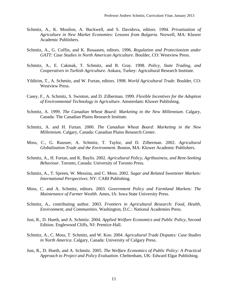- Schmitz, A., K. Moulton, A. Buckwell, and S. Davidova, editors. 1994. *Privatization of Agriculture in New Market Economies: Lessons from Bulgaria.* Norwell, MA: Kluwer Academic Publishers.
- Schmitz, A., G. Coffin, and K. Rosaasen, editors. 1996. *Regulation and Protectionism under GATT: Case Studies in North American Agriculture*. Boulder, CO: Westview Press.
- Schmitz, A., E. Cakmak, T. Schmitz, and R. Gray. 1998. *Policy, State Trading, and Cooperatives in Turkish Agriculture*. Ankara, Turkey: Agricultural Research Institute.
- Yildirim, T., A. Schmitz, and W. Furtan, editors. 1998. *World Agricultural Trade*. Boulder, CO: Westview Press.
- Casey, F., A. Schmitz, S. Swinton, and D. Zilberman. 1999. *Flexible Incentives for the Adoption of Environmental Technology in Agriculture*. Amsterdam: Kluwer Publishing.
- Schmitz, A. 1999. *The Canadian Wheat Board: Marketing in the New Millennium*. Calgary, Canada: The Canadian Plains Research Institute.
- Schmitz, A. and H. Furtan. 2000. *The Canadian Wheat Board: Marketing in the New Millennium*. Calgary, Canada: Canadian Plains Research Center.
- Moss, C., G. Rausser, A. Schmitz, T. Taylor, and D. Zilberman. 2002. *Agricultural Globalization Trade and the Environment*. Boston, MA: Kluwer Academic Publishers.
- Schmitz, A., H. Furtan, and K. Baylis. 2002. *Agricultural Policy, Agribusiness, and Rent-Seeking Behaviour*. Toronto, Canada: University of Toronto Press.
- Schmitz, A., T. Spreen, W. Messina, and C. Moss. 2002. *Sugar and Related Sweetener Markets: International Perspectives*. NY: CABI Publishing.
- Moss, C. and A. Schmitz, editors. 2003. *Government Policy and Farmland Markets: The Maintenance of Farmer Wealth*. Ames, IA: Iowa State University Press.
- Schmitz, A., contributing author. 2003. *Frontiers in Agricultural Research: Food, Health, Environment, and Communities*. Washington, D.C.: National Academies Press.
- Just, R., D. Hueth, and A. Schmitz. 2004. *Applied Welfare Economics and Public Policy*, Second Edition. Englewood Cliffs, NJ: Prentice-Hall.
- Schmitz, A., C. Moss, T. Schmitz, and W. Koo. 2004. *Agricultural Trade Disputes: Case Studies in North America*. Calgary, Canada: University of Calgary Press.
- Just, R., D. Hueth, and A. Schmitz. 2005. *The Welfare Economics of Public Policy: A Practical Approach to Project and Policy Evaluation*. Cheltenham, UK: Edward Elgar Publishing.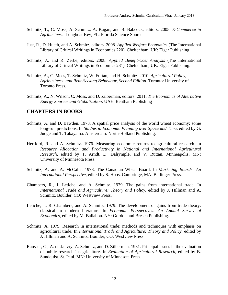- Schmitz, T., C. Moss, A. Schmitz, A. Kagan, and B. Babcock, editors. 2005. *E-Commerce in Agribusiness*. Longboat Key, FL: Florida Science Source.
- Just, R., D. Hueth, and A. Schmitz, editors. 2008. *Applied Welfare Economics* (The International Library of Critical Writings in Economics 220). Cheltenham, UK: Elgar Publishing.
- Schmitz, A. and R. Zerbe, editors. 2008. *Applied Benefit-Cost Analysis* (The International Library of Critical Writings in Economics 231). Cheltenham, UK: Elgar Publishing.
- Schmitz, A., C. Moss, T. Schmitz, W. Furtan, and H. Schmitz. 2010. *Agricultural Policy, Agribusiness, and Rent-Seeking Behaviour, Second Edition*. Toronto: University of Toronto Press.
- Schmitz, A., N. Wilson, C. Moss, and D. Zilberman, editors. 2011. *The Economics of Alternative Energy Sources and Globalization*. UAE: Bentham Publishing

# **CHAPTERS IN BOOKS**

- Schmitz, A. and D. Bawden. 1973. A spatial price analysis of the world wheat economy: some long-run predictions. In *Studies in Economic Planning over Space and Time*, edited by G. Judge and T. Takayama. Amsterdam: North-Holland Publishing.
- Hertford, R. and A. Schmitz. 1976. Measuring economic returns to agricultural research. In *Resource Allocation and Productivity in National and International Agricultural Research*, edited by T. Arndt, D. Dalrymple, and V. Ruttan. Minneapolis, MN: University of Minnesota Press.
- Schmitz, A. and A. McCalla. 1978. The Canadian Wheat Board. In *Marketing Boards: An International Perspective*, edited by S. Hoos. Cambridge, MA: Ballinger Press.
- Chambers, R., J. Letiche, and A. Schmitz. 1979. The gains from international trade. In *International Trade and Agriculture: Theory and Policy*, edited by J. Hillman and A. Schmitz. Boulder, CO: Westview Press.
- Letiche, J., R. Chambers, and A. Schmitz. 1979. The development of gains from trade theory: classical to modern literature. In *Economic Perspectives: An Annual Survey of Economics*, edited by M. Ballabon. NY: Gordon and Bresch Publishing.
- Schmitz, A. 1979. Research in international trade: methods and techniques with emphasis on agricultural trade. In *International Trade and Agriculture: Theory and Policy*, edited by J. Hillman and A. Schmitz. Boulder, CO: Westview Press.
- Rausser, G., A. de Janvry, A. Schmitz, and D. Zilberman. 1981. Principal issues in the evaluation of public research in agriculture. In *Evaluation of Agricultural Research*, edited by B. Sundquist. St. Paul, MN: University of Minnesota Press.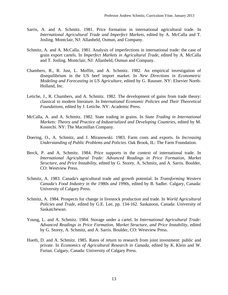- Sarris, A. and A. Schmitz. 1981. Price formation in international agricultural trade. In *International Agricultural Trade and Imperfect Markets*, edited by A. McCalla and T. Josling. Montclair, NJ: Allanheld, Osmun, and Company.
- Schmitz, A. and A. McCalla. 1981. Analysis of imperfections in international trade: the case of grain export cartels. In *Imperfect Markets in Agricultural Trade*, edited by A. McCalla and T. Josling. Montclair, NJ: Allanheld, Osmun and Company.
- Chambers, R., R. Just, L. Moffitt, and A. Schmitz. 1982. An empirical investigation of disequilibrium in the US beef import market. In *New Directions in Econometric Modeling and Forecasting in US Agriculture*, edited by G. Rausser. NY: Elsevier North-Holland, Inc.
- Letiche, J., R. Chambers, and A. Schmitz. 1982. The development of gains from trade theory: classical to modern literature. In *International Economic Policies and Their Theoretical Foundations*, edited by J. Letiche. NY: Academic Press.
- McCalla, A. and A. Schmitz. 1982. State trading in grains. In *State Trading in International Markets: Theory and Practice of Industrialized and Developing Countries*, edited by M. Kostechi. NY: The Macmillan Company.
- Doering, O., A. Schmitz, and J. Miranowski. 1983. Farm costs and exports. In *Increasing Understanding of Public Problems and Policies*. Oak Brook, IL: The Farm Foundation.
- Berck, P. and A. Schmitz. 1984. Price supports in the context of international trade. In *International Agricultural Trade: Advanced Readings in Price Formation, Market Structure, and Price Instability*, edited by G. Storey, A. Schmitz, and A. Sarris. Boulder, CO: Westview Press.
- Schmitz, A. 1983. Canada's agricultural trade and growth potential. In *Transforming Western Canada's Food Industry in the 1980s and 1990s*, edited by B. Sadler. Calgary, Canada: University of Calgary Press.
- Schmitz, A. 1984. Prospects for change in livestock production and trade. In *World Agricultural Policies and Trade*, edited by G.E. Lee, pp. 134-162. Saskatoon, Canada: University of Saskatchewan.
- Young, L. and A. Schmitz. 1984. Storage under a cartel. In *International Agricultural Trade: Advanced Readings in Price Formation, Market Structure, and Price Instability*, edited by G. Storey, A. Schmitz, and A. Sarris. Boulder, CO: Westview Press.
- Hueth, D. and A. Schmitz. 1985. Rates of return to research from joint investment: public and private. In *Economics of Agricultural Research in Canada*, edited by K. Klein and W. Furtan. Calgary, Canada: University of Calgary Press.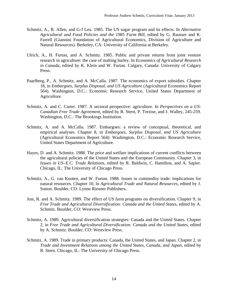- Schmitz, A., R. Allen, and G-J Leu. 1985. The US sugar program and its effects. In *Alternative Agricultural and Food Policies and the 1985 Farm Bill*, edited by G. Rausser and K. Farrell (Giannini Foundation of Agricultural Economics, Division of Agriculture and Natural Resources). Berkeley, CA: University of California at Berkeley.
- Ulrich, A., H. Furtan, and A. Schmitz. 1985. Public and private returns from joint venture research in agriculture: the case of malting barley. In *Economics of Agricultural Research in Canada*, edited by K. Klein and W. Furtan. Calgary, Canada: University of Calgary Press.
- Paarlberg, P., A. Schmitz, and A. McCalla. 1987. The economics of export subsidies. Chapter 18, in *Embargoes, Surplus Disposal, and US Agriculture* (Agricultural Economics Report 564). Washington, D.C.: Economic Research Service, United States Department of Agriculture.
- Schmitz, A. and C. Carter. 1987. A sectoral perspective: agriculture. In *Perspectives on a US-Canadian Free Trade Agreement,* edited by R. Stern, P. Trezise, and J. Walley, 245-259. Washington, D.C.: The Brookings Institution.
- Schmitz, A. and A. McCalla. 1987. Embargoes: a review of conceptual, theoretical, and empirical analyses. Chapter 8, in *Embargoes, Surplus Disposal, and US Agriculture* (Agricultural Economics Report 564). Washington, D.C.: Economic Research Service, United States Department of Agriculture.
- Hayes, D. and A. Schmitz. 1988. The price and welfare implications of current conflicts between the agricultural policies of the United States and the European Community. Chapter 3, in *Issues in US–E.C. Trade Relations,* edited by R. Baldwin, C. Hamilton, and A. Sapier. Chicago, IL: The University of Chicago Press.
- Schmitz, A., G. van Kooten, and W. Furtan. 1988. Issues in commodity trade: implications for natural resources. Chapter 10, in *Agricultural Trade and Natural Resources*, edited by J. Sutton. Boulder, CO: Lynne Rienner Publishers.
- Just, R. and A. Schmitz. 1989. The effect of US farm programs on diversification. Chapter 9, in *Free Trade and Agricultural Diversification: Canada and the United States*, edited by A. Schmitz. Boulder, CO: Westview Press.
- Schmitz, A. 1989. Agricultural diversification strategies: Canada and the United States. Chapter 2, in *Free Trade and Agricultural Diversification: Canada and the United States*, edited by A. Schmitz. Boulder, CO: Westview Press.
- Schmitz, A. 1989. Trade in primary products: Canada, the United States, and Japan. Chapter 2, in *Trade and Investment Relations among the United States, Canada, and Japan*, edited by R. Stern. Chicago, IL: The University of Chicago Press.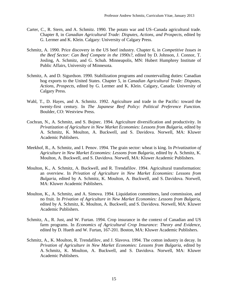- Carter, C., R. Stern, and A. Schmitz. 1990. The potato war and US–Canada agricultural trade. Chapter 8, in *Canadian Agricultural Trade: Disputes, Actions, and Prospects*, edited by G. Lermer and K. Klein. Calgary: University of Calgary Press.
- Schmitz, A. 1990. Price discovery in the US beef industry. Chapter 6, in *Competitive Issues in the Beef Sector: Can Beef Compete in the 1990s?*, edited by D. Johnson, J. Connor, T. Josling, A. Schmitz, and G. Schuh. Minneapolis, MN: Hubert Humphrey Institute of Public Affairs, University of Minnesota.
- Schmitz, A. and D. Sigurdson. 1990. Stabilization programs and countervailing duties: Canadian hog exports to the United States. Chapter 5, in *Canadian Agricultural Trade: Disputes, Actions, Prospects*, edited by G. Lermer and K. Klein. Calgary, Canada: University of Calgary Press.
- Wahl, T., D. Hayes, and A. Schmitz. 1992. Agriculture and trade in the Pacific: toward the twenty-first century. In *The Japanese Beef Policy: Political Preference Function*. Boulder, CO: Westview Press.
- Cochran, N., A. Schmitz, and S. Bojnec. 1994. Agriculture diversification and productivity. In *Privatization of Agriculture in New Market Economies: Lessons from Bulgaria*, edited by A. Schmitz, K. Moulton, A. Buckwell, and S. Davidova. Norwell, MA: Kluwer Academic Publishers.
- Meekhof, R., A. Schmitz, and I. Penov. 1994. The grain sector: wheat is king. In *Privatization of Agriculture in New Market Economies: Lessons from Bulgaria,* edited by A. Schmitz, K. Moulton, A. Buckwell, and S. Davidova. Norwell, MA: Kluwer Academic Publishers.
- Moulton, K., A. Schmitz, A. Buckwell, and R. Trendafilov. 1994. Agricultural transformation: an overview. In *Privation of Agriculture in New Market Economies: Lessons from Bulgaria*, edited by A. Schmitz, K. Moulton, A. Buckwell, and S. Davidova. Norwell, MA: Kluwer Academic Publishers.
- Moulton, K., A. Schmitz, and A. Simova. 1994. Liquidation committees, land commission, and no fruit. In *Privation of Agriculture in New Market Economies: Lessons from Bulgaria*, edited by A. Schmitz, K. Moulton, A. Buckwell, and S. Davidova. Norwell, MA: Kluwer Academic Publishers.
- Schmitz, A., R. Just, and W. Furtan. 1994. Crop insurance in the context of Canadian and US farm programs. In *Economics of Agricultural Crop Insurance: Theory and Evidence*, edited by D. Hueth and W. Furtan, 167-201. Boston, MA: Kluwer Academic Publishers.
- Schmitz, A., K. Moulton, R. Trendafilov, and J. Slavova. 1994. The cotton industry in decay. In *Privation of Agriculture in New Market Economies: Lessons from Bulgaria*, edited by A. Schmitz, K. Moulton, A. Buckwell, and S. Davidova. Norwell, MA: Kluwer Academic Publishers.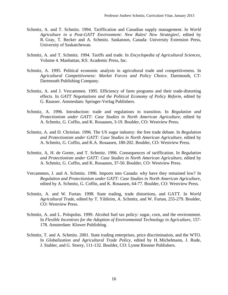- Schmitz, A. and T. Schmitz. 1994. Tariffication and Canadian supply management. In *World Agriculture in a Post-GATT Environment: New Rules! New Strategies!*, edited by R. Gray, T. Becker and A. Schmitz. Saskatoon, Canada: University Extension Press, University of Saskatchewan.
- Schmitz, A. and T. Schmitz. 1994. Tariffs and trade. In *Encyclopedia of Agricultural Sciences*, Volume 4. Manhattan, KS: Academic Press, Inc.
- Schmitz, A. 1995. Political economic analysis in agricultural trade and competitiveness. In *Agricultural Competitiveness: Market Forces and Policy Choice*. Dartmouth, CT: Dartmouth Publishing Company.
- Schmitz, A. and J. Vercammen. 1995. Efficiency of farm programs and their trade-distorting effects. In *GATT Negotiations and the Political Economy of Policy Reform,* edited by G. Rausser. Amsterdam: Springer-Verlag Publishers.
- Schmitz, A. 1996. Introduction: trade and regulations in transition. In *Regulation and Protectionism under GATT: Case Studies in North American Agriculture*, edited by A. Schmitz, G. Coffin, and K. Rosaasen, 3-19. Boulder, CO: Westview Press.
- Schmitz, A. and D. Christian. 1996. The US sugar industry: the free trade debate. In *Regulation and Protectionism under GATT: Case Studies in North American Agriculture*, edited by A. Schmitz, G. Coffin, and K.A. Rosaasen, 180-202. Boulder, CO: Westview Press.
- Schmitz, A, H. de Gorter, and T. Schmitz. 1996. Consequences of tariffication. In *Regulation and Protectionism under GATT: Case Studies in North American Agriculture*, edited by A. Schmitz, G. Coffin, and K. Rosaasen, 37-50. Boulder, CO: Westview Press.
- Vercammen, J. and A. Schmitz. 1996. Imports into Canada: why have they remained low? In *Regulation and Protectionism under GATT: Case Studies in North American Agriculture*, edited by A. Schmitz, G. Coffin, and K. Rosaasen, 64-77. Boulder, CO: Westview Press.
- Schmitz, A. and W. Furtan. 1998. State trading, trade distortions, and GATT. In *World Agricultural Trade*, edited by T. Yildirim, A. Schmitz, and W. Furtan, 255-279. Boulder, CO: Westview Press.
- Schmitz, A. and L. Polopolus. 1999. Alcohol fuel tax policy: sugar, corn, and the environment. In *Flexible Incentives for the Adoption of Environmental Technology in Agriculture*, 157- 178. Amsterdam: Kluwer Publishing.
- Schmitz, T. and A. Schmitz. 2001. State trading enterprises, price discrimination, and the WTO. In *Globalization and Agricultural Trade Policy*, edited by H. Michelmann, J. Rude, J. Stabler, and G. Storey, 111-132. Boulder, CO: Lynne Rienner Publishers.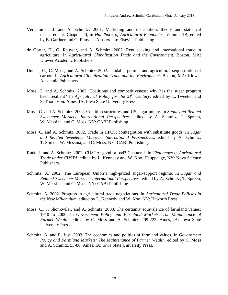- Vercammen, J. and A. Schmitz. 2001. Marketing and distribution: theory and statistical measurement. Chapter 20, in *Handbook of Agricultural Economics,* Volume 1B, edited by B. Gardner and G. Rausser. Amsterdam: Elsevier Publishing.
- de Gorter, H., G. Rausser, and A. Schmitz. 2002. Rent seeking and international trade in agriculture. In *Agricultural Globalization Trade and the Environment*. Boston, MA: Kluwer Academic Publishers.
- Dumas, C., C. Moss, and A. Schmitz. 2002. Tradable permits and agricultural sequestration of carbon. In *Agricultural Globalization Trade and the Environment*. Boston, MA: Kluwer Academic Publishers.
- Moss, C. and A. Schmitz. 2002. Coalitions and competitiveness: why has the sugar program been resilient? In *Agricultural Policy for the 21<sup>st</sup> Century*, edited by L. Tweeten and S. Thompson. Ames, IA: Iowa State University Press.
- Moss, C. and A. Schmitz. 2002. Coalition structures and US sugar policy. In *Sugar and Related Sweetener Markets: International Perspectives*, edited by A. Schmitz, T. Spreen, W Messina, and C. Moss. NY: CABI Publishing.
- Moss, C. and A. Schmitz. 2002. Trade in HFCS: cointegration with substitute goods. In *Sugar and Related Sweetener Markets: International Perspectives*, edited by A. Schmitz, T. Spreen, W. Messina, and C. Moss. NY: CABI Publishing.
- Rude, J. and A. Schmitz. 2002. CUSTA: good or bad? Chapter 1, in *Challenges in Agricultural Trade under CUSTA*, edited by L. Kennedy and W. Koo. Hauppauge, NY: Nova Science Publishers.
- Schmitz, A. 2002. The European Union's high-priced sugar-support regime. In *Sugar and Related Sweetener Markets: International Perspectives*, edited by A. Schmitz, T. Spreen, W. Messina, and C. Moss. NY: CABI Publishing.
- Schmitz, A. 2002. Progress in agricultural trade negotiations. In *Agricultural Trade Policies in the New Millennium*, edited by L. Kennedy and W. Koo. NY: Haworth Press.
- Moss, C., J. Shonkwiler, and A. Schmitz. 2003. The certainty equivalence of farmland values: 1910 to 2000. In *Government Policy and Farmland Markets: The Maintenance of Farmer Wealth*, edited by C. Moss and A. Schmitz, 209-222. Ames, IA: Iowa State University Press.
- Schmitz, A. and R. Just. 2003. The economics and politics of farmland values. In *Government Policy and Farmland Markets: The Maintenance of Farmer Wealth*, edited by C. Moss and A. Schmitz, 53-80. Ames, IA: Iowa State University Press.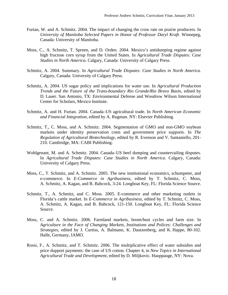- Furtan, W. and A. Schmitz. 2004. The impact of changing the crow rate on prairie producers. In *University of Manitoba Selected Papers in Honor of Professor Daryl Kraft*. Winnepeg, Canada: University of Manitoba.
- Moss, C., A. Schmitz, T. Spreen, and D. Orden. 2004. Mexico's antidumping regime against high fructose corn syrup from the United States. In *Agricultural Trade Disputes: Case Studies in North America*. Calgary, Canada: University of Calgary Press.
- Schmitz, A. 2004. Summary. In *Agricultural Trade Disputes: Case Studies in North America*. Calgary, Canada: University of Calgary Press.
- Schmitz, A. 2004. US sugar policy and implications for water use. In *Agricultural Production Trends and the Future of the Trans-boundary Rio Grande/Rio Bravo Basin*, edited by D. Lauer. San Antonio, TX: Environmental Defense and Woodrow Wilson International Center for Scholars, Mexico Institute.
- Schmitz, A. and H. Furtan. 2004. Canada–US agricultural trade. In *North American Economic and Financial Integration*, edited by A. Rugman. NY: Elsevier Publishing.
- Schmitz, T., C. Moss, and A. Schmitz. 2004. Segmentation of GMO and non-GMO soybean markets under identity preservation costs and government price supports. In *The Regulation of Agricultural Biotechnology*, edited by R. Evenson and V. Santaniello, 201- 210. Cambridge, MA: CABI Publishing.
- Wohlgenant, M. and A. Schmitz. 2004. Canada–US beef dumping and countervailing disputes. In *Agricultural Trade Disputes: Case Studies in North America*. Calgary, Canada: University of Calgary Press.
- Moss, C., T. Schmitz, and A. Schmitz. 2005. The new institutional economics, schumpeter, and e-commerce. In *E-Commerce in Agribusiness*, edited by T. Schmitz, C. Moss, A. Schmitz, A. Kagan, and B. Babcock, 3-24. Longboat Key, FL: Florida Science Source.
- Schmitz, T., A. Schmitz, and C. Moss. 2005. E-commerce and other marketing outlets in Florida's cattle market. In *E-Commerce in Agribusiness*, edited by T. Schmitz, C. Moss, A. Schmitz, A. Kagan, and B. Babcock, 121-150. Longboat Key, FL: Florida Science Source.
- Moss, C. and A. Schmitz. 2006. Farmland markets, boom/bust cycles and farm size. In *Agriculture in the Face of Changing Markets, Institutions and Polices: Challenges and Strategies*, edited by J. Curtiss, A. Balmann, K. Dautzenberg, and K. Happe, 80-102. Halle, Germany, IAMO.
- Rossi, F., A. Schmitz, and T. Schmitz. 2006. The multiplicative effect of water subsidies and price dupport payments: the case of US cotton. Chapter 4, in *New Topics in International Agricultural Trade and Development*, edited by D. Miljkovic. Hauppauge, NY: Nova.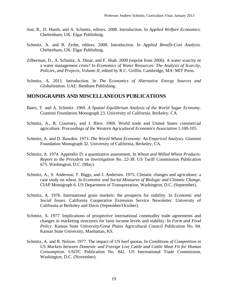- Just, R., D. Hueth, and A. Schmitz, editors. 2008. Introduction. In *Applied Welfare Economics*. Cheltenham, UK: Elgar Publishing.
- Schmitz, A. and R. Zerbe, editors. 2008. Introduction. In *Applied Benefit-Cost Analysis*. Cheltenham, UK: Elgar Publishing.
- Zilberman, D., A. Schmitz, A. Dinar, and F. Shah. 2009 (reprint from 2006). A water scarcity or a water management crisis? In *Economics of Water Resources: The Analysis of Scarcity, Policies, and Projects, Volume II*, edited by R.C. Griffin. Cambridge, MA: MIT Press.
- Schmitz, A. 2011. Introduction. In *The Economics of Alternative Energy Sources and Globalization*. UAE: Bentham Publishing.

### **MONOGRAPHS AND MISCELLANEOUS PUBLICATIONS**

- Bates, T. and A. Schmitz. 1969. *A Spatial Equilibrium Analysis of the World Sugar Economy*. Giannini Foundation Monograph 23. University of California, Berkeley, CA.
- Schmitz, A., R. Courtney, and J. Bieri. 1969. World trade and United States commercial agriculture. *Proceedings of the Western Agricultural Economics Association* 1:100-105.
- Schmitz, A. and D. Bawden. 1973. *The World Wheat Economy: An Empirical Analysis*. Giannini Foundation Monograph 32. University of California, Berkeley, CA.
- Schmitz, A. 1974. Appendix D: a quantitative assessment. In *Wheat and Milled Wheat Products: Report to the President on Investigation No. 22-38*. US Tariff Commission Publication 675. Washington, D.C. (May).
- Schmitz, A., S. Anderson, T. Biggs, and J. Andersen. 1975. Climatic changes and agriculture: a case study on wheat. In *Economic and Social Measures of Biologic and Climatic Change*. CIAP Monograph 6. US Department of Transportation, Washington, D.C. (September).
- Schmitz, A. 1976. International grain markets: the prospects for stability. In *Economic and Social Issues*. California Cooperative Extension Service Newsletter. University of California at Berkeley and Davis (September/October).
- Schmitz, A. 1977. Implications of prospective international commodity trade agreements and changes in marketing structures for farm income levels and stability. In *Farm and Food Policy*. Kansas State University/Great Plains Agricultural Council Publication No. 84. Kansas State University, Manhattan, KS.
- Schmitz, A. and R. Nelson. 1977. The impact of US beef quotas. In *Conditions of Competition in US Markets between Domestic and Foreign Live Cattle and Cattle Meat Fit for Human Consumption*. USITC Publication No. 842. US International Trade Commission, Washington, D.C. (November).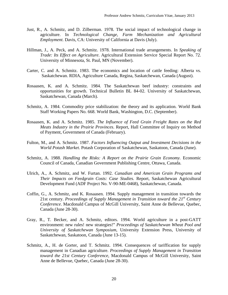- Just, R., A. Schmitz, and D. Zilberman. 1978. The social impact of technological change in agriculture. In *Technological Change, Farm Mechanization and Agricultural Employment*. Davis, CA: University of California at Davis (July).
- Hillman, J., A. Peck, and A. Schmitz. 1978. International trade arrangements. In *Speaking of Trade: Its Effect on Agriculture*. Agricultural Extension Service Special Report No. 72. University of Minnesota, St. Paul, MN (November).
- Carter, C. and A. Schmitz. 1983. The economics and location of cattle feeding: Alberta vs. Saskatchewan. RDIA, Agriculture Canada, Regina, Saskatchewan, Canada (August).
- Rosaasen, K. and A. Schmitz. 1984. The Saskatchewan beef industry: constraints and opportunities for growth. Technical Bulletin BL 84-02. University of Saskatchewan, Saskatchewan, Canada (March).
- Schmitz, A. 1984. Commodity price stabilization: the theory and its application. World Bank Staff Working Papers No. 668. World Bank, Washington, D.C. (September).
- Rosaasen, K. and A. Schmitz. 1985. *The Influence of Feed Grain Freight Rates on the Red Meats Industry in the Prairie Provinces*. Report, Hall Committee of Inquiry on Method of Payment, Government of Canada (February).
- Fulton, M., and A. Schmitz. 1987. *Factors Influencing Output and Investment Decisions in the World Potash Market*. Potash Corporation of Saskatchewan, Saskatoon, Canada (June).
- Schmitz, A. 1988. *Handling the Risks: A Report on the Prairie Grain Economy.* Economic Council of Canada, Canadian Government Publishing Centre, Ottawa, Canada.
- Ulrich, A., A. Schmitz, and W. Furtan. 1992. *Canadian and American Grain Programs and Their Impacts on Feedgrain Costs: Case Studies.* Report, Saskatchewan Agricultural Development Fund (ADF Project No. V-90-ME-0468), Saskatchewan, Canada.
- Coffin, G., A. Schmitz, and K. Rosaasen. 1994. Supply management in transition towards the 21st century. *Proceedings of Supply Management in Transition toward the 21st Century Conference*. Macdonald Campus of McGill University, Saint Anne de Bellevue, Quebec, Canada (June 28-30).
- Gray, R., T. Becker, and A. Schmitz, editors. 1994. World agriculture in a post-GATT environment: new rules! new strategies!" *Proceedings of Saskatchewan Wheat Pool and University of Saskatchewan Symposium*, University Extension Press, University of Saskatchewan, Saskatoon, Canada (June 13-15).
- Schmitz, A., H. de Gorter, and T. Schmitz. 1994. Consequences of tariffication for supply management in Canadian agriculture. *Proceedings of Supply Management in Transition toward the 21st Century Conference*, Macdonald Campus of McGill University, Saint Anne de Bellevue, Quebec, Canada (June 28-30).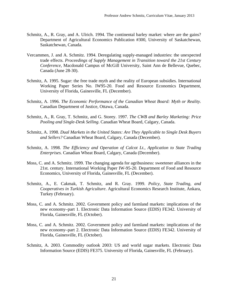- Schmitz, A., R. Gray, and A. Ulrich. 1994. The continental barley market: where are the gains? Department of Agricultural Economics Publication #300, University of Saskatchewan, Saskatchewan, Canada.
- Vercammen, J. and A. Schmitz. 1994. Deregulating supply-managed industries: the unexpected trade effects. *Proceedings of Supply Management in Transition toward the 21st Century Conference*, Macdonald Campus of McGill University, Saint Ann de Bellevue, Quebec, Canada (June 28-30).
- Schmitz, A. 1995. Sugar: the free trade myth and the reality of European subsidies. International Working Paper Series No. IW95-20. Food and Resource Economics Department, University of Florida, Gainesville, FL (December).
- Schmitz, A. 1996. *The Economic Performance of the Canadian Wheat Board: Myth or Reality*. Canadian Department of Justice, Ottawa, Canada.
- Schmitz, A., R. Gray, T. Schmitz, and G. Storey. 1997. *The CWB and Barley Marketing: Price Pooling and Single-Desk Selling*. Canadian Wheat Board, Calgary, Canada.
- Schmitz, A. 1998. *Dual Markets in the United States: Are They Applicable to Single Desk Buyers and Sellers?* Canadian Wheat Board, Calgary, Canada (December).
- Schmitz, A. 1998. *The Efficiency and Operation of Calcot Lt., Application to State Trading Enterprises*. Canadian Wheat Board, Calgary, Canada (December).
- Moss, C. and A. Schmitz. 1999. The changing agenda for agribusiness: sweetener alliances in the 21st. century. International Working Paper IW-95-20. Department of Food and Resource Economics, University of Florida, Gainesville, FL (December).
- Schmitz, A., E. Cakmak, T. Schmitz, and R. Gray. 1999. *Policy, State Trading, and Cooperatives in Turkish Agriculture*. Agricultural Economics Research Institute, Ankara, Turkey (February).
- Moss, C. and A. Schmitz. 2002. Government policy and farmland markets: implications of the new economy–part 1. Electronic Data Information Source (EDIS) FE342. University of Florida, Gainesville, FL (October).
- Moss, C. and A. Schmitz. 2002. Government policy and farmland markets: implications of the new economy–part 2. Electronic Data Information Source (EDIS) FE342. University of Florida, Gainesville, FL (October).
- Schmitz, A. 2003. Commodity outlook 2003: US and world sugar markets. Electronic Data Information Source (EDIS) FE375. University of Florida, Gainesville, FL (February).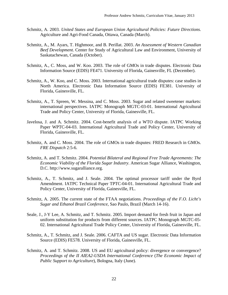- Schmitz, A. 2003. *United States and European Union Agricultural Policies: Future Directions*. Agriculture and Agri-Food Canada, Ottawa, Canada (March).
- Schmitz, A., M. Ayars, T. Highmoor, and B. Perillat. 2003. *An Assessment of Western Canadian Beef Development*. Center for Study of Agricultural Law and Environment, University of Saskatachewan, Canada (October).
- Schmitz, A., C. Moss, and W. Koo. 2003. The role of GMOs in trade disputes. Electronic Data Information Source (EDIS) FE471. University of Florida, Gainesville, FL (December).
- Schmitz, A., W. Koo, and C. Moss. 2003. International agricultural trade disputes: case studies in North America. Electronic Data Information Source (EDIS) FE381. University of Florida, Gainesville, FL.
- Schmitz, A., T. Spreen, W. Messina, and C. Moss. 2003. Sugar and related sweetener markets: international perspectives. IATPC Monograph MGTC-03-01. International Agricultural Trade and Policy Center, University of Florida, Gainesville, FL.
- Javelosa, J. and A. Schmitz. 2004. Cost-benefit analysis of a WTO dispute. IATPC Working Paper WPTC-04-03. International Agricultural Trade and Policy Center, University of Florida, Gainesville, FL.
- Schmitz, A. and C. Moss. 2004. The role of GMOs in trade disputes: FRED Research in GMOs. *FRE Dispatch* 2:5-6.
- Schmitz, A. and T. Schmitz. 2004. *Potential Bilateral and Regional Free Trade Agreements: The Economic Viability of the Florida Sugar Industry*. American Sugar Alliance, Washington, D.C. http://www.sugaralliance.org.
- Schmitz, A., T. Schmitz, and J. Seale. 2004. The optimal processor tariff under the Byrd Amendment. IATPC Technical Paper TPTC-04-01. International Agricultural Trade and Policy Center, University of Florida, Gainesville, FL.
- Schmitz, A. 2005. The current state of the FTAA negotiations. *Proceedings of the F.O. Licht's Sugar and Ethanol Brazil Conference*, Sao Paulo, Brazil (March 14-16).
- Seale, J., J-Y Lee, A. Schmitz, and T. Schmitz. 2005. Import demand for fresh fruit in Japan and uniform substitution for products from different sources. IATPC Monograph MGTC-05- 02. International Agricultural Trade Policy Center, University of Florida, Gainesville, FL.
- Schmitz, A., T. Schmitz, and J. Seale. 2006. CAFTA and US sugar. Electronic Data Information Source (EDIS) FE578. University of Florida, Gainesville, FL.
- Schmitz, A. and T. Schmitz. 2008. US and EU agricultural policy: divergence or convergence? *Proceedings of the II AIEA2-USDA International Conference* (*The Economic Impact of Public Support to Agriculture*), Bologna, Italy (June).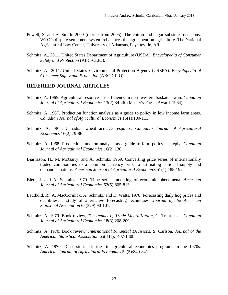- Powell, S. and A. Smith. 2009 (reprint from 2005). The cotton and sugar subsidies decisions: WTO's dispute settlement system rebalances the agreement on agriculture. The National Agricultural Law Center, University of Arkansas, Fayetteville, AR.
- Schmitz, A.. 2011. United States Department of Agriculture (USDA). *Encyclopedia of Consumer Safety and Protection* (ABC-CLIO).
- Schmitz, A.. 2011. United States Environmental Protection Agency (USEPA). *Encyclopedia of Consumer Safety and Protection* (ABC-CLIO).

## **REFEREED JOURNAL ARTICLES**

- Schmitz, A. 1965. Agricultural resource-use efficiency in northwestern Saskatchewan. *Canadian Journal of Agricultural Economics* 13(2):34-46. (Master's Thesis Award, 1964).
- Schmitz, A. 1967. Production function analysis as a guide to policy in low income farm areas. *Canadian Journal of Agricultural Economics* 15(1):100-111.
- Schmitz, A. 1968. Canadian wheat acreage response. *Canadian Journal of Agricultural Economics* 16(2):79-86.
- Schmitz, A. 1968. Production function analysis as a guide to farm policy—a reply. *Canadian Journal of Agricultural Economics* 16(2):130.
- Bjarnason, H., M. McGarry, and A. Schmitz. 1969. Converting price series of internationally traded commodities to a common currency prior to estimating national supply and demand equations. *American Journal of Agricultural Economics* 51(1):188-192.
- Bieri, J. and A. Schmitz. 1970. Time series modeling of economic phenomena. *American Journal of Agricultural Economics* 52(5):805-813.
- Leuthold, R., A. MacCormick, A. Schmitz, and D. Watts. 1970. Forecasting daily hog prices and quantities: a study of alternative forecasting techniques. *Journal of the American Statistical Association* 65(329):90-107.
- Schmitz, A. 1970. Book review, *The Impact of Trade Liberalization*, G. Trant et al. *Canadian Journal of Agricultural Economics* 18(3):208-209.
- Schmitz, A. 1970. Book review, *International Financial Decisions*, S. Carlson*. Journal of the American Statistical Association* 65(331):1407-1408.
- Schmitz, A. 1970. Discussion: priorities in agricultural economics programs in the 1970s. *American Journal of Agricultural Economics* 52(5):840-841.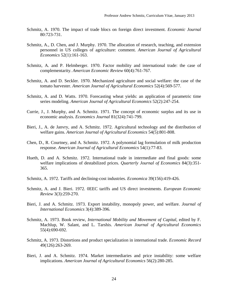- Schmitz, A. 1970. The impact of trade blocs on foreign direct investment. *Economic Journal* 80:723-731.
- Schmitz, A., D. Chen, and J. Murphy. 1970. The allocation of research, teaching, and extension personnel in US colleges of agriculture: comment. *American Journal of Agricultural Economics* 52(1):161-163.
- Schmitz, A. and P. Helmberger. 1970. Factor mobility and international trade: the case of complementarity. *American Economic Review* 60(4):761-767.
- Schmitz, A. and D. Seckler. 1970. Mechanized agriculture and social welfare: the case of the tomato harvester. *American Journal of Agricultural Economics* 52(4):569-577.
- Schmitz, A. and D. Watts. 1970. Forecasting wheat yields: an application of parametric time series modeling. *American Journal of Agricultural Economics* 52(2):247-254.
- Currie, J., J. Murphy, and A. Schmitz. 1971. The concept of economic surplus and its use in economic analysis. *Economics Journal* 81(324):741-799.
- Bieri, J., A. de Janvry, and A. Schmitz. 1972. Agricultural technology and the distribution of welfare gains. *American Journal of Agricultural Economics* 54(5):801-808.
- Chen, D., R. Courtney, and A. Schmitz. 1972. A polynomial lag formulation of milk production response. *American Journal of Agricultural Economics* 54(1):77-83.
- Hueth, D. and A. Schmitz. 1972. International trade in intermediate and final goods: some welfare implications of destabilized prices. *Quarterly Journal of Economics* 84(3):351- 365.
- Schmitz, A. 1972. Tariffs and declining-cost industries. *Economica* 39(156):419-426.
- Schmitz, A. and J. Bieri. 1972. 0EEC tariffs and US direct investments. *European Economic Review* 3(3):259-270.
- Bieri, J. and A. Schmitz. 1973. Export instability, monopoly power, and welfare. *Journal of International Economics* 3(4):389-396.
- Schmitz, A. 1973. Book review, *International Mobility and Movement of Capital*, edited by F. Machlup, W. Salant, and L. Tarshis. *American Journal of Agricultural Economics* 55(4):690-692.
- Schmitz, A. 1973. Distortions and product specialization in international trade. *Economic Record* 49(126):263-269.
- Bieri, J. and A. Schmitz. 1974. Market intermediaries and price instability: some welfare implications. *American Journal of Agricultural Economics* 56(2):280-285.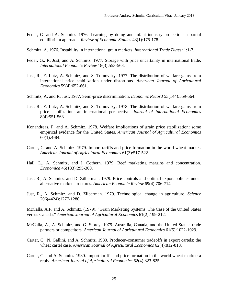- Feder, G. and A. Schmitz. 1976. Learning by doing and infant industry protection: a partial equilibrium approach. *Review of Economic Studies* 43(1):175-178.
- Schmitz, A. 1976. Instability in international grain markets. *International Trade Digest* 1:1-7.
- Feder, G., R. Just, and A. Schmitz. 1977. Storage with price uncertainty in international trade. *International Economic Review* 18(3):553-568.
- Just, R., E. Lutz, A. Schmitz, and S. Turnovsky. 1977. The distribution of welfare gains from international price stabilization under distortions. *American Journal of Agricultural Economics* 59(4):652-661.
- Schmitz, A. and R. Just. 1977. Semi-price discrimination. *Economic Record* 53(144):559-564.
- Just, R., E. Lutz, A. Schmitz, and S. Turnovsky. 1978. The distribution of welfare gains from price stabilization: an international perspective. *Journal of International Economics* 8(4):551-563.
- Konandreas, P. and A. Schmitz. 1978. Welfare implications of grain price stabilization: some empirical evidence for the United States. *American Journal of Agricultural Economics* 60(1):4-84.
- Carter, C. and A. Schmitz. 1979. Import tariffs and price formation in the world wheat market. *American Journal of Agricultural Economics* 61(3):517-522.
- Hall, L., A. Schmitz, and J. Cothern. 1979. Beef marketing margins and concentration. *Economica* 46(183):295-300.
- Just, R., A. Schmitz, and D. Zilberman. 1979. Price controls and optimal export policies under alternative market structures. *American Economic Review* 69(4):706-714.
- Just, R., A. Schmitz, and D. Zilberman. 1979. Technological change in agriculture. *Science* 206(4424):1277-1280.

McCalla, A.F. and A. Schmitz. (1979). "Grain Marketing Systems: The Case of the United States versus Canada." *American Journal of Agricultural Economics* 61(2):199-212.

- McCalla, A., A. Schmitz, and G. Storey. 1979. Australia, Canada, and the United States: trade partners or competitors. *American Journal of Agricultural Economics* 61(5):1022-1029.
- Carter, C., N. Gallini, and A. Schmitz. 1980. Producer–consumer tradeoffs in export cartels: the wheat cartel case. *American Journal of Agricultural Economics* 62(4):812-818.
- Carter, C. and A. Schmitz. 1980. Import tariffs and price formation in the world wheat market: a reply. *American Journal of Agricultural Economics* 62(4):823-825.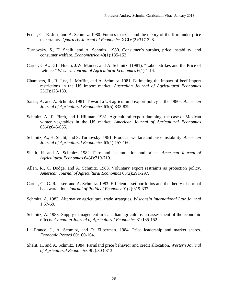- Feder, G., R. Just, and A. Schmitz. 1980. Futures markets and the theory of the firm under price uncertainty. *Quarterly Journal of Economics* XCIV(2):317-328.
- Turnovsky, S., H. Shalit, and A. Schmitz. 1980. Consumer's surplus, price instability, and consumer welfare. *Econometrica* 48(1):135-152.
- Carter, C.A., D.L. Hueth, J.W. Mamer, and A. Schmitz. (1981). "Labor Strikes and the Price of Lettuce." *Western Journal of Agricultural Economics* 6(1):1-14.
- Chambers, R., R. Just, L. Moffitt, and A. Schmitz. 1981. Estimating the impact of beef import restrictions in the US import market. *Australian Journal of Agricultural Economics* 25(2):123-133.
- Sarris, A. and A. Schmitz. 1981. Toward a US agricultural export policy in the 1980s. *American Journal of Agricultural Economics* 63(5):832-839.
- Schmitz, A., R. Firch, and J. Hillman. 1981. Agricultural export dumping: the case of Mexican winter vegetables in the US market. *American Journal of Agricultural Economics* 63(4):645-655.
- Schmitz, A., H. Shalit, and S. Turnovsky. 1981. Producer welfare and price instability. *American Journal of Agricultural Economics* 63(1):157-160.
- Shalit, H. and A. Schmitz. 1982. Farmland accumulation and prices. *American Journal of Agricultural Economics* 64(4):710-719.
- Allen, R., C. Dodge, and A. Schmitz. 1983. Voluntary export restraints as protection policy. *American Journal of Agricultural Economics* 65(2):291-297.
- Carter, C., G. Rausser, and A. Schmitz. 1983. Efficient asset portfolios and the theory of normal backwardation. *Journal of Political Economy* 91(2):319-332.
- Schmitz, A. 1983. Alternative agricultural trade strategies. *Wisconsin International Law Journal* 1:57-69.
- Schmitz, A. 1983. Supply management in Canadian agriculture: an assessment of the economic effects. *Canadian Journal of Agricultural Economics* 31:135-152.
- La France, J., A. Schmitz, and D. Zilberman. 1984. Price leadership and market shares. *Economic Record* 60:160-164.
- Shalit, H. and A. Schmitz. 1984. Farmland price behavior and credit allocation. *Western Journal of Agricultural Economics* 9(2):303-313.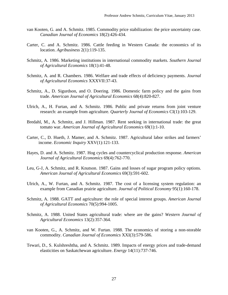- van Kooten, G. and A. Schmitz. 1985. Commodity price stabilization: the price uncertainty case. *Canadian Journal of Economics* 18(2):426-434.
- Carter, C. and A. Schmitz. 1986. Cattle feeding in Western Canada: the economics of its location. *Agribusiness* 2(1):119-135.
- Schmitz, A. 1986. Marketing institutions in international commodity markets. *Southern Journal of Agricultural Economics* 18(1):41-48.
- Schmitz, A. and R. Chambers. 1986. Welfare and trade effects of deficiency payments. *Journal of Agricultural Economics* XXXVII:37-43.
- Schmitz, A., D. Sigurdson, and O. Doering. 1986. Domestic farm policy and the gains from trade. *American Journal of Agricultural Economics* 68(4):820-827.
- Ulrich, A., H. Furtan, and A. Schmitz. 1986. Public and private returns from joint venture research: an example from agriculture. *Quarterly Journal of Economics* CI(1):103-129.
- Bredahl, M., A. Schmitz, and J. Hillman. 1987. Rent seeking in international trade: the great tomato war. *American Journal of Agricultural Economics* 69(1):1-10.
- Carter, C., D. Hueth, J. Mamer, and A. Schmitz. 1987. Agricultural labor strikes and farmers' income. *Economic Inquiry* XXV(1):121-133.
- Hayes, D. and A. Schmitz. 1987. Hog cycles and countercyclical production response. *American Journal of Agricultural Economics* 69(4):762-770.
- Leu, G-J, A. Schmitz, and R. Knutson. 1987. Gains and losses of sugar program policy options. *American Journal of Agricultural Economics* 69(3):591-602.
- Ulrich, A., W. Furtan, and A. Schmitz. 1987. The cost of a licensing system regulation: an example from Canadian prairie agriculture. *Journal of Political Economy* 95(1):160-178.
- Schmitz, A. 1988. GATT and agriculture: the role of special interest groups. *American Journal of Agricultural Economics* 70(5):994-1005.
- Schmitz, A. 1988. United States agricultural trade: where are the gains? *Western Journal of Agricultural Economics* 13(2):357-364.
- van Kooten, G., A. Schmitz, and W. Furtan. 1988. The economics of storing a non-storable commodity. *Canadian Journal of Economics* XXI(3):579-586.
- Tewari, D., S. Kulshreshtha, and A. Schmitz. 1989. Impacts of energy prices and trade-demand elasticities on Saskatchewan agriculture. *Energy* 14(11):737-746.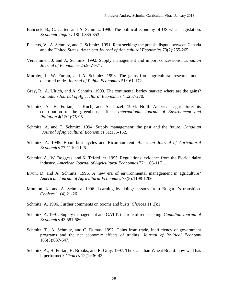- Babcock, B., C. Carter, and A. Schmitz. 1990. The political economy of US wheat legislation. *Economic Inquiry* 18(2):335-353.
- Picketts, V., A. Schmitz, and T. Schmitz. 1991. Rent seeking: the potash dispute between Canada and the United States. *American Journal of Agricultural Economics* 73(2):255-265.
- Vercammen, J. and A. Schmitz. 1992. Supply management and import concessions. *Canadian Journal of Economics* 25:957-971.
- Murphy, J., W. Furtan, and A. Schmitz. 1993. The gains from agricultural research under distorted trade. *Journal of Public Economics* 51:161-172.
- Gray, R., A. Ulrich, and A. Schmitz. 1993. The continental barley market: where are the gains? *Canadian Journal of Agricultural Economics* 41:257-270.
- Schmitz, A., H. Furtan, P. Kuch, and A. Guzel. 1994. North American agriculture: its contribution to the greenhouse effect. *International Journal of Environment and Pollution* 4(1&2):75-96.
- Schmitz, A. and T. Schmitz. 1994. Supply management: the past and the future. *Canadian Journal of Agricultural Economics* 31:135-152.
- Schmitz, A. 1995. Boom-bust cycles and Ricardian rent. *American Journal of Agricultural Economics* 77:1110-1125.
- Schmitz, A., W. Boggess, and K. Tefertiller. 1995. Regulations: evidence from the Florida dairy industry. *American Journal of Agricultural Economics* 77:1166-1171.
- Ervin, D. and A. Schmitz. 1996. A new era of environmental management in agriculture? *American Journal of Agricultural Economics* 78(5):1198-1206.
- Moulton, K. and A. Schmitz. 1996. Learning by doing: lessons from Bulgaria's transition. *Choices* 11(4):21-26.
- Schmitz, A. 1996. Further comments on booms and busts. *Choices* 11(2):1.
- Schmitz, A. 1997. Supply management and GATT: the role of rent seeking. *Canadian Journal of Economics* 43:581-586.
- Schmitz, T., A. Schmitz, and C. Dumas. 1997. Gains from trade, inefficiency of government programs and the net economic effects of trading. *Journal of Political Economy* 105(3):637-647.
- Schmitz, A., H. Furtan, H. Brooks, and R. Gray. 1997. The Canadian Wheat Board: how well has it performed? *Choices* 12(1):36-42.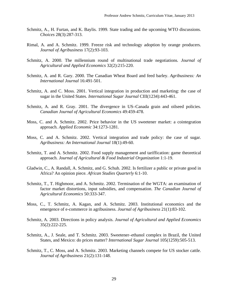- Schmitz, A., H. Furtan, and K. Baylis. 1999. State trading and the upcoming WTO discussions. *Choices* 28(3):287-313.
- Rimal, A. and A. Schmitz. 1999. Freeze risk and technology adoption by orange producers. *Journal of Agribusiness* 17(2):93-103.
- Schmitz, A. 2000. The millennium round of multinational trade negotiations*. Journal of Agricultural and Applied Economics* 32(2):215-220.
- Schmitz, A. and R. Gary. 2000. The Canadian Wheat Board and feed barley. *Agribusiness: An International Journal* 16:491-501.
- Schmitz, A. and C. Moss. 2001. Vertical integration in production and marketing: the case of sugar in the United States. *International Sugar Journal* CIII(1234):443-461.
- Schmitz, A. and R. Gray. 2001. The divergence in US–Canada grain and oilseed policies. *Canadian Journal of Agricultural Economics* 49:459-478.
- Moss, C. and A. Schmitz. 2002. Price behavior in the US sweetener market: a cointegration approach. *Applied Economic* 34:1273-1281.
- Moss, C. and A. Schmitz. 2002. Vertical integration and trade policy: the case of sugar. *Agribusiness: An International Journal* 18(1):49-60.
- Schmitz, T. and A. Schmitz. 2002. Food supply management and tariffication: game theoretical approach. *Journal of Agricultural & Food Industrial Organization* 1:1-19.
- Gladwin, C., A. Randall, A. Schmitz, and G. Schuh. 2002. Is fertilizer a public or private good in Africa? An opinion piece*. African Studies Quarterly* 6:1-10.
- Schmitz, T., T. Highmoor, and A. Schmitz. 2002. Termination of the WGTA: an examination of factor market distortions, input subsidies, and compensation. *The Canadian Journal of Agricultural Economics* 50:333-347.
- Moss, C., T. Schmitz, A. Kagan, and A. Schmitz. 2003. Institutional economics and the emergence of e-commerce in agribusiness. *Journal of Agribusiness* 21(1):83-102.
- Schmitz, A. 2003. Directions in policy analysis. *Journal of Agricultural and Applied Economics* 35(2):222-225.
- Schmitz, A., J. Seale, and T. Schmitz. 2003. Sweetener–ethanol complex in Brazil, the United States, and Mexico: do prices matter? *International Sugar Journal* 105(1259):505-513.
- Schmitz, T., C. Moss, and A. Schmitz. 2003. Marketing channels compete for US stocker cattle. *Journal of Agribusiness* 21(2):131-148.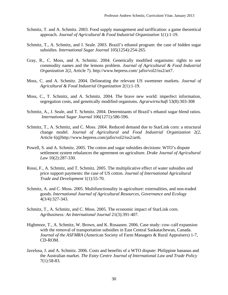- Schmitz, T. and A. Schmitz. 2003. Food supply management and tariffication: a game theoretical approach. *Journal of Agricultural & Food Industrial Organization* 1(1):1-19.
- Schmitz, T., A. Schmitz, and J. Seale. 2003. Brazil's ethanol program: the case of hidden sugar subsidies. *International Sugar Journal* 105(1254):254-265.
- Gray, R., C. Moss, and A. Schmitz. 2004. Genetically modified organisms: rights to use commodity names and the lemons problem. *Journal of Agricultural & Food Industrial Organization* 2(2, Article 7). http://www.bepress.com/ jafio/vol2/iss2/art7.
- Moss, C. and A. Schmitz. 2004. Delineating the relevant US sweetener markets. *Journal of Agricultural & Food Industrial Organization* 2(1):1-19.
- Moss, C., T. Schmitz, and A. Schmitz. 2004. The brave new world: imperfect information, segregation costs, and genetically modified organisms. *Agrarwirtschaft* 53(8):303-308
- Schmitz, A., J. Seale, and T. Schmitz. 2004. Determinants of Brazil's ethanol sugar blend ratios. *International Sugar Journal* 106(1271):586-596.
- Schmitz, T., A. Schmitz, and C. Moss. 2004. Reduced demand due to StarLink corn: a structural change model. *Journal of Agricultural and Food Industrial Organization* 2(2, Article 6)@http://www.bepress.com/jafio/vol2/iss2/art6.
- Powell, S. and A. Schmitz. 2005. The cotton and sugar subsidies decisions: WTO's dispute settlement system rebalances the agreement on agriculture. *Drake Journal of Agricultural Law* 10(2):287-330.
- Rossi, F., A. Schmitz, and T. Schmitz. 2005. The multiplicative effect of water subsidies and price support payments: the case of US cotton. *Journal of International Agricultural Trade and Development* 1(1):55-70.
- Schmitz, A. and C. Moss. 2005. Multifunctionality in agriculture: externalities, and non-traded goods. *International Journal of Agricultural Resources, Governance and Ecology* 4(3/4):327-343.
- Schmitz, T., A. Schmitz, and C. Moss. 2005. The economic impact of StarLink corn. *Agribusiness: An International Journal* 21(3):391-407.
- Highmoor, T., A. Schmitz, W. Brown, and K. Rosaasen. 2006. Case study: cow–calf expansion with the removal of transportation subsidies in East Central Saskatachewan, Canada. *Journal of the ASFMRA* (American Society of Farm Managers & Rural Appraisers) 1-7, CD-ROM.
- Javelosa, J. and A. Schmitz. 2006. Costs and benefits of a WTO dispute: Philippine bananas and the Australian market. *The Estey Centre Journal of International Law and Trade Policy* 7(1):58-83.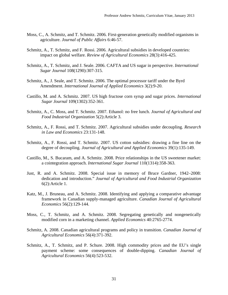- Moss, C., A. Schmitz, and T. Schmitz. 2006. First-generation genetically modified organisms in agriculture. *Journal of Public Affairs* 6:46-57.
- Schmitz, A., T. Schmitz, and F. Rossi. 2006. Agricultural subsidies in developed countries: impact on global welfare. *Review of Agricultural Economics* 28(3):416-425.
- Schmitz, A., T. Schmitz, and J. Seale. 2006. CAFTA and US sugar in perspective. *International Sugar Journal* 108(1290):307-315.
- Schmitz, A., J. Seale, and T. Schmitz. 2006. The optimal processor tariff under the Byrd Amendment. *International Journal of Applied Economics* 3(2):9-20.
- Castillo, M. and A. Schmitz. 2007. US high fructose corn syrup and sugar prices. *International Sugar Journal* 109(1302):352-361.
- Schmitz, A., C. Moss, and T. Schmitz. 2007. Ethanol: no free lunch. *Journal of Agricultural and Food Industrial Organization* 5(2):Article 3.
- Schmitz, A., F. Rossi, and T. Schmitz. 2007. Agricultural subsidies under decoupling. *Research in Law and Economics* 23:131-148.
- Schmitz, A., F. Rossi, and T. Schmitz. 2007. US cotton subsidies: drawing a fine line on the degree of decoupling. *Journal of Agricultural and Applied Economics* 39(1):135-149.
- Castillo, M., S. Bucaram, and A. Schmitz. 2008. Price relationships in the US sweetener market: a cointegration approach. *International Sugar Journal* 110(1314):358-363.
- Just, R. and A. Schmitz. 2008. Special issue in memory of Bruce Gardner, 1942–2008: dedication and introduction." *Journal of Agricultural and Food Industrial Organization* 6(2):Article 1.
- Katz, M., J. Bruneau, and A. Schmitz. 2008. Identifying and applying a comparative advantage framework in Canadian supply-managed agriculture. *Canadian Journal of Agricultural Economics* 56(2):129-144.
- Moss, C., T. Schmitz, and A. Schmitz. 2008. Segregating genetically and nongenetically modified corn in a marketing channel. *Applied Economics* 40:2765-2774.
- Schmitz, A. 2008. Canadian agricultural programs and policy in transition. *Canadian Journal of Agricultural Economics* 56(4):371-392.
- Schmitz, A., T. Schmitz, and P. Schure. 2008. High commodity prices and the EU's single payment scheme: some consequences of double-dipping. *Canadian Journal of Agricultural Economics* 56(4):523-532.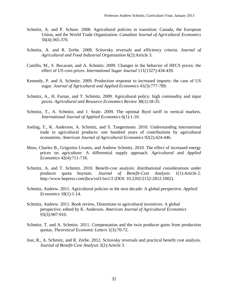- Schmitz, A. and P. Schure. 2008. Agricultural policies in transition: Canada, the European Union, and the World Trade Organization. *Canadian Journal of Agricultural Economics* 56(4):365-370.
- Schmitz, A. and R. Zerbe. 2008. Scitovsky reversals and efficiency criteria. *Journal of Agricultural and Food Industrial Organization* 6(2):Article 3.
- Castillo, M., S. Bucaram, and A. Schmitz. 2009. Changes in the behavior of HFCS prices: the effect of US corn prices. *International Sugar Journal* 111(1327):434-439.
- Kennedy, P. and A. Schmitz. 2009. Production response to increased imports: the case of US sugar. *Journal of Agricultural and Applied Economics* 41(3):777-789.
- Schmitz, A., H. Furtan, and T. Schmitz. 2009. Agricultural policy: high commodity and input prices. *Agricultural and Resource Economics Review* 38(1):18-35.
- Schmitz, T., A. Schmitz, and J. Seale. 2009. The optimal Byrd tariff in vertical markets. *International Journal of Applied Economics* 6(1):1-10.
- Josling, T., K. Anderson, A. Schmitz, and S. Tangermann. 2010. Understanding international trade in agricultural products: one hundred years of contributions by agricultural economists. *American Journal of Agricultural Economics* 92(2):424-446.
- Moss, Charles B., Grigorios Livanis, and Andrew Schmitz. 2010. The effect of increased energy prices on agriculture: A differential supply approach. *Agricultural and Applied Economics* 42(4):711-718.
- Schmitz, A. and T. Schmitz. 2010. Benefit-cost analysis: distributional considerations under producer quota buyouts. *Journal of Benefit-Cost Analysis* 1(1):Article 2. http://www.bepress.com/jbca/vol1/iss1/2 (DOI: 10.2202/2152-2812.1002).
- Schmitz, Andrew. 2011. Agricultural policies in the next decade: A global perspective. *Applied Economics* 18(1):1-14.
- Schmitz, Andrew. 2011. Book review, Distortions to agricultural incentives: A global perspective, edited by K. Anderson. *American Journal of Agricultural Economics* 93(3):907-910.
- Schmitz, T. and A. Schmitz. 2011. Compensation and the twin producer gains from production quotas. *Theoretical Economic Letters* 1(3):70-72.
- Just, R., A. Schmitz, and R. Zerbe. 2012. Scitovsky reversals and practical benefit cost analysis. *Journal of Benefit-Cost Analysis* 3(2):Article 3.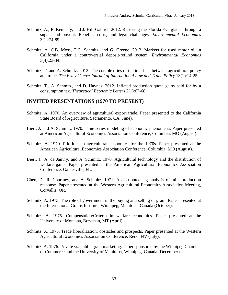- Schmitz, A., P. Kennedy, and J. Hill-Gabriel. 2012. Restoring the Florida Everglades through a sugar land buyout: Benefits, costs, and legal challenges. *Environmental Economics* 3(1):74-89.
- Schmitz, A. C.B. Moss, T.G. Schmitz, and G. Greene. 2012. Markets for used motor oil in California under a controversial deposit-refund system. *Environmental Economics* 3(4):23-34.
- Schmitz, T. and A. Schmitz. 2012. The complexities of the interface between agricultural policy and trade. *The Estey Centre Journal of International Law and Trade Policy* 13(1):14-25.
- Schmitz, T., A. Schmitz, and D. Haynes. 2012. Inflated production quota gains paid for by a consumption tax. *Theoretical Economic Letters* 2(1):67-68.

# **INVITED PRESENTATIONS (1970 TO PRESENT)**

- Schmitz, A. 1970. An overview of agricultural export trade. Paper presented to the California State Board of Agriculture, Sacramento, CA (June).
- Bieri, J. and A. Schmitz. 1970. Time series modeling of economic phenomena. Paper presented at American Agricultural Economics Association Conference, Columbia, MO (August).
- Schmitz, A. 1970. Priorities in agricultural economics for the 1970s. Paper presented at the American Agricultural Economics Association Conference, Columbia, MO (August).
- Bieri, J., A. de Janvry, and A. Schmitz. 1970. Agricultural technology and the distribution of welfare gains. Paper presented at the American Agricultural Economics Association Conference, Gainesville, FL.
- Chen, D., R. Courtney, and A. Schmitz. 1971. A distributed lag analysis of milk production response. Paper presented at the Western Agricultural Economics Association Meeting, Corvallis, OR.
- Schmitz, A. 1973. The role of government in the buying and selling of grain. Paper presented at the International Grains Institute, Winnipeg, Manitoba, Canada (October).
- Schmitz, A. 1975. Compensation/Criteria in welfare economics. Paper presented at the University of Montana, Bozeman, MT (April).
- Schmitz, A. 1975. Trade liberalization: obstacles and prospects. Paper presented at the Western Agricultural Economics Association Conference, Reno, NV (July).
- Schmitz, A. 1976. Private vs. public grain marketing. Paper sponsored by the Winnipeg Chamber of Commerce and the University of Manitoba, Winnipeg, Canada (December).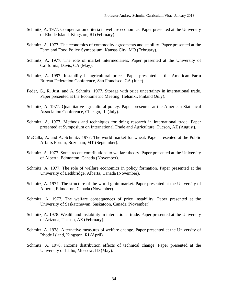- Schmitz, A. 1977. Compensation criteria in welfare economics. Paper presented at the University of Rhode Island, Kingston, RI (February).
- Schmitz, A. 1977. The economics of commodity agreements and stability. Paper presented at the Farm and Food Policy Symposium, Kansas City, MO (February).
- Schmitz, A. 1977. The role of market intermediaries. Paper presented at the University of California, Davis, CA (May).
- Schmitz, A. 1997. Instability in agricultural prices. Paper presented at the American Farm Bureau Federation Conference, San Francisco, CA (June).
- Feder, G., R. Just, and A. Schmitz. 1977. Storage with price uncertainty in international trade. Paper presented at the Econometric Meeting, Helsinki, Finland (July).
- Schmitz, A. 1977. Quantitative agricultural policy. Paper presented at the American Statistical Association Conference, Chicago, IL (July).
- Schmitz, A. 1977. Methods and techniques for doing research in international trade. Paper presented at Symposium on International Trade and Agriculture, Tucson, AZ (August).
- McCalla, A. and A. Schmitz. 1977. The world market for wheat. Paper presented at the Public Affairs Forum, Bozeman, MT (September).
- Schmitz, A. 1977. Some recent contributions to welfare theory. Paper presented at the University of Alberta, Edmonton, Canada (November).
- Schmitz, A. 1977. The role of welfare economics in policy formation. Paper presented at the University of Lethbridge, Alberta, Canada (November).
- Schmitz, A. 1977. The structure of the world grain market. Paper presented at the University of Alberta, Edmonton, Canada (November).
- Schmitz, A. 1977. The welfare consequences of price instability. Paper presented at the University of Saskatchewan, Saskatoon, Canada (November).
- Schmitz, A. 1978. Wealth and instability in international trade. Paper presented at the University of Arizona, Tucson, AZ (February).
- Schmitz, A. 1978. Alternative measures of welfare change. Paper presented at the University of Rhode Island, Kingston, RI (April).
- Schmitz, A. 1978. Income distribution effects of technical change. Paper presented at the University of Idaho, Moscow, ID (May).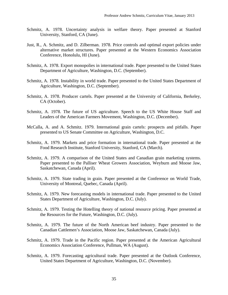- Schmitz, A. 1978. Uncertainty analysis in welfare theory. Paper presented at Stanford University, Stanford, CA (June).
- Just, R., A. Schmitz, and D. Zilberman. 1978. Price controls and optimal export policies under alternative market structures. Paper presented at the Western Economics Association Conference, Honolulu, HI (June).
- Schmitz, A. 1978. Export monopolies in international trade. Paper presented to the United States Department of Agriculture, Washington, D.C. (September).
- Schmitz, A. 1978. Instability in world trade. Paper presented to the United States Department of Agriculture, Washington, D.C. (September).
- Schmitz, A. 1978. Producer cartels. Paper presented at the University of California, Berkeley, CA (October).
- Schmitz, A. 1978. The future of US agriculture. Speech to the US White House Staff and Leaders of the American Farmers Movement, Washington, D.C. (December).
- McCalla, A. and A. Schmitz. 1979. International grain cartels: prospects and pitfalls. Paper presented to US Senate Committee on Agriculture, Washington, D.C.
- Schmitz, A. 1979. Markets and price formation in international trade. Paper presented at the Food Research Institute, Stanford University, Stanford, CA (March).
- Schmitz, A. 1979. A comparison of the United States and Canadian grain marketing systems. Paper presented to the Palliser Wheat Growers Association, Weyburn and Moose Jaw, Saskatchewan, Canada (April).
- Schmitz, A. 1979. State trading in grain. Paper presented at the Conference on World Trade, University of Montreal, Quebec, Canada (April).
- Schmitz, A. 1979. New forecasting models in international trade. Paper presented to the United States Department of Agriculture, Washington, D.C. (July).
- Schmitz, A. 1979. Testing the Hotelling theory of national resource pricing. Paper presented at the Resources for the Future, Washington, D.C. (July).
- Schmitz, A. 1979. The future of the North American beef industry. Paper presented to the Canadian Cattlemen's Association, Moose Jaw, Saskatchewan, Canada (July).
- Schmitz, A. 1979. Trade in the Pacific region. Paper presented at the American Agricultural Economics Association Conference, Pullman, WA (August).
- Schmitz, A. 1979. Forecasting agricultural trade. Paper presented at the Outlook Conference, United States Department of Agriculture, Washington, D.C. (November).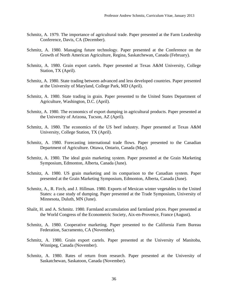- Schmitz, A. 1979. The importance of agricultural trade. Paper presented at the Farm Leadership Conference, Davis, CA (December).
- Schmitz, A. 1980. Managing future technology. Paper presented at the Conference on the Growth of North American Agriculture, Regina, Saskatchewan, Canada (February).
- Schmitz, A. 1980. Grain export cartels. Paper presented at Texas A&M University, College Station, TX (April).
- Schmitz, A. 1980. State trading between advanced and less developed countries. Paper presented at the University of Maryland, College Park, MD (April).
- Schmitz, A. 1980. State trading in grain. Paper presented to the United States Department of Agriculture, Washington, D.C. (April).
- Schmitz, A. 1980. The economics of export dumping in agricultural products. Paper presented at the University of Arizona, Tucson, AZ (April).
- Schmitz, A. 1980. The economics of the US beef industry. Paper presented at Texas A&M University, College Station, TX (April).
- Schmitz, A. 1980. Forecasting international trade flows. Paper presented to the Canadian Department of Agriculture. Ottawa, Ontario, Canada (May).
- Schmitz, A. 1980. The ideal grain marketing system. Paper presented at the Grain Marketing Symposium, Edmonton, Alberta, Canada (June).
- Schmitz, A. 1980. US grain marketing and its comparison to the Canadian system. Paper presented at the Grain Marketing Symposium, Edmonton, Alberta, Canada (June).
- Schmitz, A., R. Firch, and J. Hillman. 1980. Exports of Mexican winter vegetables to the United States: a case study of dumping. Paper presented at the Trade Symposium, University of Minnesota, Duluth, MN (June).
- Shalit, H. and A. Schmitz. 1980. Farmland accumulation and farmland prices. Paper presented at the World Congress of the Econometric Society, Aix-en-Provence, France (August).
- Schmitz, A. 1980. Cooperative marketing. Paper presented to the California Farm Bureau Federation, Sacramento, CA (November).
- Schmitz, A. 1980. Grain export cartels. Paper presented at the University of Manitoba, Winnipeg, Canada (November).
- Schmitz, A. 1980. Rates of return from research. Paper presented at the University of Saskatchewan, Saskatoon, Canada (November).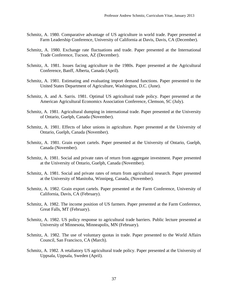- Schmitz, A. 1980. Comparative advantage of US agriculture in world trade. Paper presented at Farm Leadership Conference, University of California at Davis, Davis, CA (December).
- Schmitz, A. 1980. Exchange rate fluctuations and trade. Paper presented at the International Trade Conference, Tucson, AZ (December).
- Schmitz, A. 1981. Issues facing agriculture in the 1980s. Paper presented at the Agricultural Conference, Banff, Alberta, Canada (April).
- Schmitz, A. 1981. Estimating and evaluating import demand functions. Paper presented to the United States Department of Agriculture, Washington, D.C. (June).
- Schmitz, A. and A. Sarris. 1981. Optimal US agricultural trade policy. Paper presented at the American Agricultural Economics Association Conference, Clemson, SC (July).
- Schmitz, A. 1981. Agricultural dumping in international trade. Paper presented at the University of Ontario, Guelph, Canada (November).
- Schmitz, A. 1981. Effects of labor unions in agriculture. Paper presented at the University of Ontario, Guelph, Canada (November).
- Schmitz, A. 1981. Grain export cartels. Paper presented at the University of Ontario, Guelph, Canada (November).
- Schmitz, A. 1981. Social and private rates of return from aggregate investment. Paper presented at the University of Ontario, Guelph, Canada (November).
- Schmitz, A. 1981. Social and private rates of return from agricultural research. Paper presented at the University of Manitoba, Winnipeg, Canada, (November).
- Schmitz, A. 1982. Grain export cartels. Paper presented at the Farm Conference, University of California, Davis, CA (February).
- Schmitz, A. 1982. The income position of US farmers. Paper presented at the Farm Conference, Great Falls, MT (February).
- Schmitz, A. 1982. US policy response to agricultural trade barriers. Public lecture presented at University of Minnesota, Minneapolis, MN (February).
- Schmitz, A. 1982. The use of voluntary quotas in trade. Paper presented to the World Affairs Council, San Francisco, CA (March).
- Schmitz, A. 1982. A retaliatory US agricultural trade policy. Paper presented at the University of Uppsala, Uppsala, Sweden (April).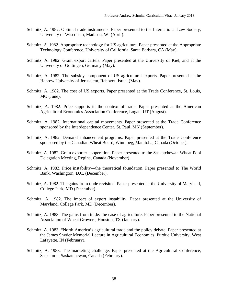- Schmitz, A. 1982. Optimal trade instruments. Paper presented to the International Law Society, University of Wisconsin, Madison, WI (April).
- Schmitz, A. 1982. Appropriate technology for US agriculture. Paper presented at the Appropriate Technology Conference, University of California, Santa Barbara, CA (May).
- Schmitz, A. 1982. Grain export cartels. Paper presented at the University of Kiel, and at the University of Gottingen, Germany (May).
- Schmitz, A. 1982. The subsidy component of US agricultural exports. Paper presented at the Hebrew University of Jerusalem, Rehovot, Israel (May).
- Schmitz, A. 1982. The cost of US exports. Paper presented at the Trade Conference, St. Louis, MO (June).
- Schmitz, A. 1982. Price supports in the context of trade. Paper presented at the American Agricultural Economics Association Conference, Logan, UT (August).
- Schmitz, A. 1982. International capital movements. Paper presented at the Trade Conference sponsored by the Interdependence Center, St. Paul, MN (September).
- Schmitz, A. 1982. Demand enhancement programs. Paper presented at the Trade Conference sponsored by the Canadian Wheat Board, Winnipeg, Manitoba, Canada (October).
- Schmitz, A. 1982. Grain exporter cooperation. Paper presented to the Saskatchewan Wheat Pool Delegation Meeting, Regina, Canada (November).
- Schmitz, A. 1982. Price instability—the theoretical foundation. Paper presented to The World Bank, Washington, D.C. (December).
- Schmitz, A. 1982. The gains from trade revisited. Paper presented at the University of Maryland, College Park, MD (December).
- Schmitz, A. 1982. The impact of export instability. Paper presented at the University of Maryland, College Park, MD (December).
- Schmitz, A. 1983. The gains from trade: the case of agriculture. Paper presented to the National Association of Wheat Growers, Houston, TX (January).
- Schmitz, A. 1983. "North America's agricultural trade and the policy debate. Paper presented at the James Snyder Memorial Lecture in Agricultural Economics, Purdue University, West Lafayette, IN (February).
- Schmitz, A. 1983. The marketing challenge. Paper presented at the Agricultural Conference, Saskatoon, Saskatchewan, Canada (February).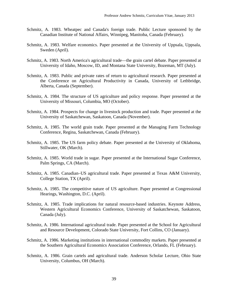- Schmitz, A. 1983. Wheatpec and Canada's foreign trade. Public Lecture sponsored by the Canadian Institute of National Affairs, Winnipeg, Manitoba, Canada (February).
- Schmitz, A. 1983. Welfare economics. Paper presented at the University of Uppsala, Uppsala, Sweden (April).
- Schmitz, A. 1983. North America's agricultural trade—the grain cartel debate. Paper presented at University of Idaho, Moscow, ID, and Montana State University, Bozeman, MT (July).
- Schmitz, A. 1983. Public and private rates of return to agricultural research. Paper presented at the Conference on Agricultural Productivity in Canada, University of Lethbridge, Alberta, Canada (September).
- Schmitz, A. 1984. The structure of US agriculture and policy response. Paper presented at the University of Missouri, Columbia, MO (October).
- Schmitz, A. 1984. Prospects for change in livestock production and trade. Paper presented at the University of Saskatchewan, Saskatoon, Canada (November).
- Schmitz, A. 1985. The world grain trade. Paper presented at the Managing Farm Technology Conference, Regina, Saskatchewan, Canada (February).
- Schmitz, A. 1985. The US farm policy debate. Paper presented at the University of Oklahoma, Stillwater, OK (March).
- Schmitz, A. 1985. World trade in sugar. Paper presented at the International Sugar Conference, Palm Springs, CA (March).
- Schmitz, A. 1985. Canadian–US agricultural trade. Paper presented at Texas A&M University, College Station, TX (April).
- Schmitz, A. 1985. The competitive nature of US agriculture. Paper presented at Congressional Hearings, Washington, D.C. (April).
- Schmitz, A. 1985. Trade implications for natural resource-based industries. Keynote Address, Western Agricultural Economics Conference, University of Saskatchewan, Saskatoon, Canada (July).
- Schmitz, A. 1986. International agricultural trade. Paper presented at the School for Agricultural and Resource Development, Colorado State University, Fort Collins, CO (January).
- Schmitz, A. 1986. Marketing institutions in international commodity markets. Paper presented at the Southern Agricultural Economics Association Conference, Orlando, FL (February).
- Schmitz, A. 1986. Grain cartels and agricultural trade. Anderson Scholar Lecture, Ohio State University, Columbus, OH (March).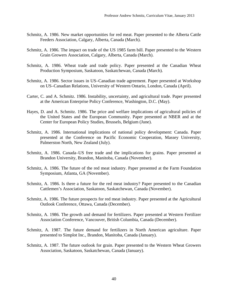- Schmitz, A. 1986. New market opportunities for red meat. Paper presented to the Alberta Cattle Feeders Association, Calgary, Alberta, Canada (March).
- Schmitz, A. 1986. The impact on trade of the US 1985 farm bill. Paper presented to the Western Grain Growers Association, Calgary, Alberta, Canada (March).
- Schmitz, A. 1986. Wheat trade and trade policy. Paper presented at the Canadian Wheat Production Symposium, Saskatoon, Saskatchewan, Canada (March).
- Schmitz, A. 1986. Sector issues in US–Canadian trade agreement. Paper presented at Workshop on US–Canadian Relations, University of Western Ontario, London, Canada (April).
- Carter, C. and A. Schmitz. 1986. Instability, uncertainty, and agricultural trade. Paper presented at the American Enterprise Policy Conference, Washington, D.C. (May).
- Hayes, D. and A. Schmitz. 1986. The price and welfare implications of agricultural policies of the United States and the European Community. Paper presented at NBER and at the Center for European Policy Studies, Brussels, Belgium (June).
- Schmitz, A. 1986. International implications of national policy development: Canada. Paper presented at the Conference on Pacific Economic Cooperation, Massey University, Palmerston North, New Zealand (July).
- Schmitz, A. 1986. Canada–US free trade and the implications for grains. Paper presented at Brandon University, Brandon, Manitoba, Canada (November).
- Schmitz, A. 1986. The future of the red meat industry. Paper presented at the Farm Foundation Symposium, Atlanta, GA (November).
- Schmitz, A. 1986. Is there a future for the red meat industry? Paper presented to the Canadian Cattlemen's Association, Saskatoon, Saskatchewan, Canada (November).
- Schmitz, A. 1986. The future prospects for red meat industry. Paper presented at the Agricultural Outlook Conference, Ottawa, Canada (December).
- Schmitz, A. 1986. The growth and demand for fertilizers. Paper presented at Western Fertilizer Association Conference, Vancouver, British Columbia, Canada (December).
- Schmitz, A. 1987. The future demand for fertilizers in North American agriculture. Paper presented to Simplot Inc., Brandon, Manitoba, Canada (January).
- Schmitz, A. 1987. The future outlook for grain. Paper presented to the Western Wheat Growers Association, Saskatoon, Saskatchewan, Canada (January).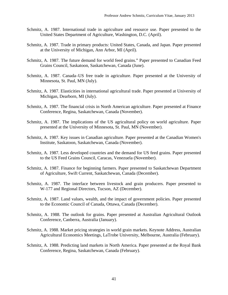- Schmitz, A. 1987. International trade in agriculture and resource use. Paper presented to the United States Department of Agriculture, Washington, D.C. (April).
- Schmitz, A. 1987. Trade in primary products: United States, Canada, and Japan. Paper presented at the University of Michigan, Ann Arbor, MI (April).
- Schmitz, A. 1987. The future demand for world feed grains." Paper presented to Canadian Feed Grains Council, Saskatoon, Saskatchewan, Canada (June).
- Schmitz, A. 1987. Canada–US free trade in agriculture. Paper presented at the University of Minnesota, St. Paul, MN (July).
- Schmitz, A. 1987. Elasticities in international agricultural trade. Paper presented at University of Michigan, Dearborn, MI (July).
- Schmitz, A. 1987. The financial crisis in North American agriculture. Paper presented at Finance Conference, Regina, Saskatchewan, Canada (November).
- Schmitz, A. 1987. The implications of the US agricultural policy on world agriculture. Paper presented at the University of Minnesota, St. Paul, MN (November).
- Schmitz, A. 1987. Key issues in Canadian agriculture. Paper presented at the Canadian Women's Institute, Saskatoon, Saskatchewan, Canada (November).
- Schmitz, A. 1987. Less developed countries and the demand for US feed grains. Paper presented to the US Feed Grains Council, Caracas, Venezuela (November).
- Schmitz, A. 1987. Finance for beginning farmers. Paper presented to Saskatchewan Department of Agriculture, Swift Current, Saskatchewan, Canada (December).
- Schmitz, A. 1987. The interface between livestock and grain producers. Paper presented to W-177 and Regional Directors, Tucson, AZ (December).
- Schmitz, A. 1987. Land values, wealth, and the impact of government policies. Paper presented to the Economic Council of Canada, Ottawa, Canada (December).
- Schmitz, A. 1988. The outlook for grains. Paper presented at Australian Agricultural Outlook Conference, Canberra, Australia (January).
- Schmitz, A. 1988. Market pricing strategies in world grain markets. Keynote Address, Australian Agricultural Economics Meetings, LaTrobe University, Melbourne, Australia (February).
- Schmitz, A. 1988. Predicting land markets in North America. Paper presented at the Royal Bank Conference, Regina, Saskatchewan, Canada (February).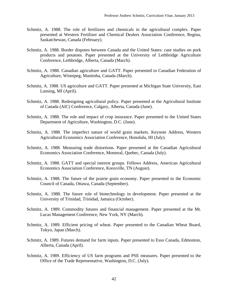- Schmitz, A. 1988. The role of fertilizers and chemicals in the agricultural complex. Paper presented at Western Fertilizer and Chemical Dealers Association Conference, Regina, Saskatchewan, Canada (February).
- Schmitz, A. 1988. Border disputes between Canada and the United States: case studies on pork products and potatoes. Paper presented at the University of Lethbridge Agriculture Conference, Lethbridge, Alberta, Canada (March).
- Schmitz, A. 1988. Canadian agriculture and GATT. Paper presented to Canadian Federation of Agriculture, Winnipeg, Manitoba, Canada (March).
- Schmitz, A. 1988. US agriculture and GATT. Paper presented at Michigan State University, East Lansing, MI (April).
- Schmitz, A. 1988. Redesigning agricultural policy. Paper presented at the Agricultural Institute of Canada (AIC) Conference, Calgary, Alberta, Canada (June).
- Schmitz, A. 1988. The role and impact of crop insurance. Paper presented to the United States Department of Agriculture, Washington, D.C. (June).
- Schmitz, A. 1988. The imperfect nature of world grain markets. Keynote Address, Western Agricultural Economics Association Conference, Honolulu, HI (July).
- Schmitz, A. 1988. Measuring trade distortions. Paper presented at the Canadian Agricultural Economics Association Conference, Montreal, Quebec, Canada (July).
- Schmitz, A. 1988. GATT and special interest groups. Fellows Address, American Agricultural Economics Association Conference, Knoxville, TN (August).
- Schmitz, A. 1988. The future of the prairie grain economy. Paper presented to the Economic Council of Canada, Ottawa, Canada (September).
- Schmitz, A. 1988. The future role of biotechnology in development. Paper presented at the University of Trinidad, Trinidad, Jamaica (October).
- Schmitz, A. 1989. Commodity futures and financial management. Paper presented at the Mt. Lucas Management Conference, New York, NY (March).
- Schmitz, A. 1989. Efficient pricing of wheat. Paper presented to the Canadian Wheat Board, Tokyo, Japan (March).
- Schmitz, A. 1989. Futures demand for farm inputs. Paper presented to Esso Canada, Edmonton, Alberta, Canada (April).
- Schmitz, A. 1989. Efficiency of US farm programs and PSE measures. Paper presented to the Office of the Trade Representative, Washington, D.C. (July).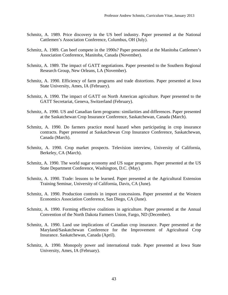- Schmitz, A. 1989. Price discovery in the US beef industry. Paper presented at the National Cattlemen's Association Conference, Columbus, OH (July).
- Schmitz, A. 1989. Can beef compete in the 1990s? Paper presented at the Manitoba Cattlemen's Association Conference, Manitoba, Canada (November).
- Schmitz, A. 1989. The impact of GATT negotiations. Paper presented to the Southern Regional Research Group, New Orleans, LA (November).
- Schmitz, A. 1990. Efficiency of farm programs and trade distortions. Paper presented at Iowa State University, Ames, IA (February).
- Schmitz, A. 1990. The impact of GATT on North American agriculture. Paper presented to the GATT Secretariat, Geneva, Switzerland (February).
- Schmitz, A. 1990. US and Canadian farm programs: similarities and differences. Paper presented at the Saskatchewan Crop Insurance Conference, Saskatchewan, Canada (March).
- Schmitz, A. 1990. Do farmers practice moral hazard when participating in crop insurance contracts. Paper presented at Saskatchewan Crop Insurance Conference, Saskatchewan, Canada (March).
- Schmitz, A. 1990. Crop market prospects. Television interview, University of California, Berkeley, CA (March).
- Schmitz, A. 1990. The world sugar economy and US sugar programs. Paper presented at the US State Department Conference, Washington, D.C. (May).
- Schmitz, A. 1990. Trade: lessons to be learned. Paper presented at the Agricultural Extension Training Seminar, University of California, Davis, CA (June).
- Schmitz, A. 1990. Production controls in import concessions. Paper presented at the Western Economics Association Conference, San Diego, CA (June).
- Schmitz, A. 1990. Forming effective coalitions in agriculture. Paper presented at the Annual Convention of the North Dakota Farmers Union, Fargo, ND (December).
- Schmitz, A. 1990. Land use implications of Canadian crop insurance. Paper presented at the Maryland/Saskatchewan Conference for the Improvement of Agricultural Crop Insurance. Saskatchewan, Canada (April).
- Schmitz, A. 1990. Monopoly power and international trade. Paper presented at Iowa State University, Ames, IA (February).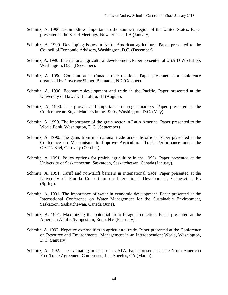- Schmitz, A. 1990. Commodities important to the southern region of the United States. Paper presented at the S-224 Meetings, New Orleans, LA (January).
- Schmitz, A. 1990. Developing issues in North American agriculture. Paper presented to the Council of Economic Advisors, Washington, D.C. (December).
- Schmitz, A. 1990. International agricultural development. Paper presented at USAID Workshop, Washington, D.C. (December).
- Schmitz, A. 1990. Cooperation in Canada trade relations. Paper presented at a conference organized by Governor Sinner. Bismarck, ND (October).
- Schmitz, A. 1990. Economic development and trade in the Pacific. Paper presented at the University of Hawaii, Honolulu, HI (August).
- Schmitz, A. 1990. The growth and importance of sugar markets. Paper presented at the Conference on Sugar Markets in the 1990s, Washington, D.C. (May).
- Schmitz, A. 1990. The importance of the grain sector in Latin America. Paper presented to the World Bank, Washington, D.C. (September).
- Schmitz, A. 1990. The gains from international trade under distortions. Paper presented at the Conference on Mechanisms to Improve Agricultural Trade Performance under the GATT. Kiel, Germany (October).
- Schmitz, A. 1991. Policy options for prairie agriculture in the 1990s. Paper presented at the University of Saskatchewan, Saskatoon, Saskatchewan, Canada (January).
- Schmitz, A. 1991. Tariff and non-tariff barriers in international trade. Paper presented at the University of Florida Consortium on International Development, Gainesville, FL (Spring).
- Schmitz, A. 1991. The importance of water in economic development. Paper presented at the International Conference on Water Management for the Sustainable Environment, Saskatoon, Saskatchewan, Canada (June).
- Schmitz, A. 1991. Maximizing the potential from forage production. Paper presented at the American Alfalfa Symposium, Reno, NV (February).
- Schmitz, A. 1992. Negative externalities in agricultural trade. Paper presented at the Conference on Resource and Environmental Management in an Interdependent World, Washington, D.C. (January).
- Schmitz, A. 1992. The evaluating impacts of CUSTA. Paper presented at the North American Free Trade Agreement Conference, Los Angeles, CA (March).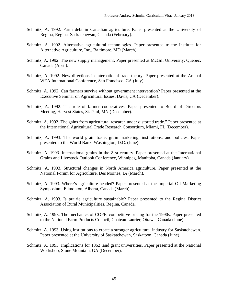- Schmitz, A. 1992. Farm debt in Canadian agriculture. Paper presented at the University of Regina, Regina, Saskatchewan, Canada (February).
- Schmitz, A. 1992. Alternative agricultural technologies. Paper presented to the Institute for Alternative Agriculture, Inc., Baltimore, MD (March).
- Schmitz, A. 1992. The new supply management. Paper presented at McGill University, Quebec, Canada (April).
- Schmitz, A. 1992. New directions in international trade theory. Paper presented at the Annual WEA International Conference, San Francisco, CA (July).
- Schmitz, A. 1992. Can farmers survive without government intervention? Paper presented at the Executive Seminar on Agricultural Issues, Davis, CA (December).
- Schmitz, A. 1992. The role of farmer cooperatives. Paper presented to Board of Directors Meeting, Harvest States, St. Paul, MN (December).
- Schmitz, A. 1992. The gains from agricultural research under distorted trade." Paper presented at the International Agricultural Trade Research Consortium, Miami, FL (December).
- Schmitz, A. 1993. The world grain trade: grain marketing, institutions, and policies. Paper presented to the World Bank, Washington, D.C. (June).
- Schmitz, A. 1993. International grains in the 21st century. Paper presented at the International Grains and Livestock Outlook Conference, Winnipeg, Manitoba, Canada (January).
- Schmitz, A. 1993. Structural changes in North America agriculture. Paper presented at the National Forum for Agriculture, Des Moines, IA (March).
- Schmitz, A. 1993. Where's agriculture headed? Paper presented at the Imperial Oil Marketing Symposium, Edmonton, Alberta, Canada (March).
- Schmitz, A. 1993. Is prairie agriculture sustainable? Paper presented to the Regina District Association of Rural Municipalities, Regina, Canada.
- Schmitz, A. 1993. The mechanics of COPF: competitive pricing for the 1990s. Paper presented to the National Farm Products Council, Chateau Laurier, Ottawa, Canada (June).
- Schmitz, A. 1993. Using institutions to create a stronger agricultural industry for Saskatchewan. Paper presented at the University of Saskatchewan, Saskatoon, Canada (June).
- Schmitz, A. 1993. Implications for 1862 land grant universities. Paper presented at the National Workshop, Stone Mountain, GA (December).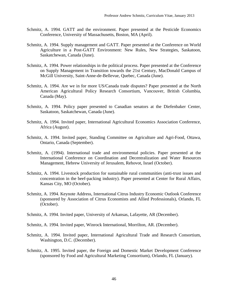- Schmitz, A. 1994. GATT and the environment. Paper presented at the Pesticide Economics Conference, University of Massachusetts, Boston, MA (April).
- Schmitz, A. 1994. Supply management and GATT. Paper presented at the Conference on World Agriculture in a Post-GATT Environment: New Rules, New Strategies, Saskatoon, Saskatchewan, Canada (June).
- Schmitz, A. 1994. Power relationships in the political process. Paper presented at the Conference on Supply Management in Transition towards the 21st Century, MacDonald Campus of McGill University, Saint-Anne-de-Bellevue, Quebec, Canada (June).
- Schmitz, A. 1994. Are we in for more US/Canada trade disputes? Paper presented at the North American Agricultural Policy Research Consortium, Vancouver, British Columbia, Canada (May).
- Schmitz, A. 1994. Policy paper presented to Canadian senators at the Diefenbaker Center, Saskatoon, Saskatchewan, Canada (June).
- Schmitz, A. 1994. Invited paper, International Agricultural Economics Association Conference, Africa (August).
- Schmitz, A. 1994. Invited paper, Standing Committee on Agriculture and Agri-Food, Ottawa, Ontario, Canada (September).
- Schmitz, A. (1994). International trade and environmental policies. Paper presented at the International Conference on Coordination and Decentralization and Water Resources Management, Hebrew University of Jerusalem, Rehovot, Israel (October).
- Schmitz, A. 1994. Livestock production for sustainable rural communities (anti-trust issues and concentration in the beef-packing industry). Paper presented at Center for Rural Affairs, Kansas City, MO (October).
- Schmitz, A. 1994. Keynote Address, International Citrus Industry Economic Outlook Conference (sponsored by Association of Citrus Economists and Allied Professionals), Orlando, FL (October).
- Schmitz, A. 1994. Invited paper, University of Arkansas, Lafayette, AR (December).
- Schmitz, A. 1994. Invited paper, Winrock International, Morrilton, AR. (December).
- Schmitz, A. 1994. Invited paper, International Agricultural Trade and Research Consortium, Washington, D.C. (December).
- Schmitz, A. 1995. Invited paper, the Foreign and Domestic Market Development Conference (sponsored by Food and Agricultural Marketing Consortium), Orlando, FL (January).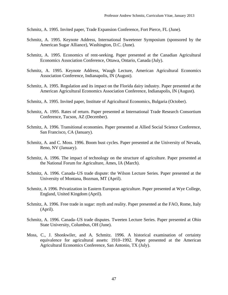Schmitz, A. 1995. Invited paper, Trade Expansion Conference, Fort Pierce, FL (June).

- Schmitz, A. 1995. Keynote Address, International Sweetener Symposium (sponsored by the American Sugar Alliance), Washington, D.C. (June).
- Schmitz, A. 1995. Economics of rent-seeking. Paper presented at the Canadian Agricultural Economics Association Conference, Ottawa, Ontario, Canada (July).
- Schmitz, A. 1995. Keynote Address, Waugh Lecture, American Agricultural Economics Association Conference, Indianapolis, IN (August).
- Schmitz, A. 1995. Regulation and its impact on the Florida dairy industry. Paper presented at the American Agricultural Economics Association Conference, Indianapolis, IN (August).
- Schmitz, A. 1995. Invited paper, Institute of Agricultural Economics, Bulgaria (October).
- Schmitz, A. 1995. Rates of return. Paper presented at International Trade Research Consortium Conference, Tucson, AZ (December).
- Schmitz, A. 1996. Transitional economies. Paper presented at Allied Social Science Conference, San Francisco, CA (January).
- Schmitz, A. and C. Moss. 1996. Boom bust cycles. Paper presented at the University of Nevada, Reno, NV (January).
- Schmitz, A. 1996. The impact of technology on the structure of agriculture. Paper presented at the National Forum for Agriculture, Ames, IA (March).
- Schmitz, A. 1996. Canada–US trade dispute: the Wilson Lecture Series. Paper presented at the University of Montana, Bozman, MT (April).
- Schmitz, A 1996. Privatization in Eastern European agriculture. Paper presented at Wye College, England, United Kingdom (April).
- Schmitz, A. 1996. Free trade in sugar: myth and reality. Paper presented at the FAO, Rome, Italy (April).
- Schmitz, A. 1996. Canada–US trade disputes. Tweeten Lecture Series. Paper presented at Ohio State University, Columbus, OH (June).
- Moss, C., J. Shonkwiler, and A. Schmitz. 1996. A historical examination of certainty equivalence for agricultural assets: 1910–1992. Paper presented at the American Agricultural Economics Conference, San Antonio, TX (July).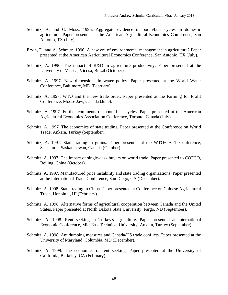- Schmitz, A. and C. Moss. 1996. Aggregate evidence of boom/bust cycles in domestic agriculture. Paper presented at the American Agricultural Economics Conference, San Antonio, TX (July).
- Ervin, D. and A. Schmitz. 1996. A new era of environmental management in agriculture? Paper presented at the American Agricultural Economics Conference, San Antonio, TX (July).
- Schmitz, A. 1996. The impact of R&D in agriculture productivity. Paper presented at the University of Vicosa, Vicosa, Brazil (October).
- Schmitz, A. 1997. New dimensions in water policy. Paper presented at the World Water Conference, Baltimore, MD (February).
- Schmitz, A. 1997. WTO and the new trade order. Paper presented at the Farming for Profit Conference, Moose Jaw, Canada (June).
- Schmitz, A. 1997. Further comments on boom-bust cycles. Paper presented at the American Agricultural Economics Association Conference, Toronto, Canada (July).
- Schmitz, A. 1997. The economics of state trading. Paper presented at the Conference on World Trade, Ankara, Turkey (September).
- Schmitz, A. 1997. State trading in grains. Paper presented at the WTO/GATT Conference, Saskatoon, Saskatchewan, Canada (October).
- Schmitz, A. 1997. The impact of single-desk buyers on world trade. Paper presented to COFCO, Beijing, China (October).
- Schmitz, A. 1997. Manufactured price instability and state trading organizations. Paper presented at the International Trade Conference, San Diego, CA (December).
- Schmitz, A. 1998. State trading in China. Paper presented at Conference on Chinese Agricultural Trade, Honolulu, HI (February).
- Schmitz, A. 1998. Alternative forms of agricultural cooperation between Canada and the United States. Paper presented at North Dakota State University, Fargo, ND (September).
- Schmitz, A. 1998. Rent seeking in Turkey's agriculture. Paper presented at International Economic Conference, Mid-East Technical University, Ankara, Turkey (September).
- Schmitz, A. 1998. Antidumping measures and Canada/US trade conflicts. Paper presented at the University of Maryland, Columbia, MD (December).
- Schmitz, A. 1999. The economics of rent seeking. Paper presented at the University of California, Berkeley, CA (February).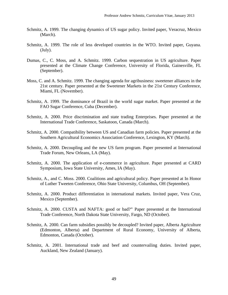- Schmitz, A. 1999. The changing dynamics of US sugar policy. Invited paper, Veracruz, Mexico (March).
- Schmitz, A. 1999. The role of less developed countries in the WTO. Invited paper, Guyana. (July).
- Dumas, C., C. Moss, and A. Schmitz. 1999. Carbon sequestration in US agriculture. Paper presented at the Climate Change Conference, University of Florida, Gainesville, FL (September).
- Moss, C. and A. Schmitz. 1999. The changing agenda for agribusiness: sweetener alliances in the 21st century. Paper presented at the Sweetener Markets in the 21st Century Conference, Miami, FL (November).
- Schmitz, A. 1999. The dominance of Brazil in the world sugar market. Paper presented at the FAO Sugar Conference, Cuba (December).
- Schmitz, A. 2000. Price discrimination and state trading Enterprises. Paper presented at the International Trade Conference, Saskatoon, Canada (March).
- Schmitz, A. 2000. Compatibility between US and Canadian farm policies. Paper presented at the Southern Agricultural Economics Association Conference, Lexington, KY (March).
- Schmitz, A. 2000. Decoupling and the new US farm program. Paper presented at International Trade Forum, New Orleans, LA (May).
- Schmitz, A. 2000. The application of e-commerce in agriculture. Paper presented at CARD Symposium, Iowa State University, Ames, IA (May).
- Schmitz, A., and C. Moss. 2000. Coalitions and agricultural policy. Paper presented at In Honor of Luther Tweeten Conference, Ohio State University, Columbus, OH (September).
- Schmitz, A. 2000. Product differentiation in international markets. Invited paper, Vera Cruz, Mexico (September).
- Schmitz, A. 2000. CUSTA and NAFTA: good or bad?" Paper presented at the International Trade Conference, North Dakota State University, Fargo, ND (October).
- Schmitz, A. 2000. Can farm subsidies possibly be decoupled? Invited paper, Alberta Agriculture (Edmonton, Alberta) and Department of Rural Economy, University of Alberta, Edmonton, Canada (October).
- Schmitz, A. 2001. International trade and beef and countervailing duties. Invited paper, Auckland, New Zealand (January).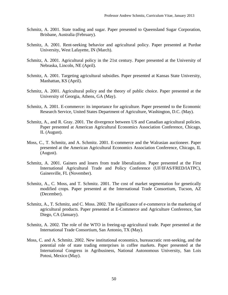- Schmitz, A. 2001. State trading and sugar. Paper presented to Queensland Sugar Corporation, Brisbane, Australia (February).
- Schmitz, A. 2001. Rent-seeking behavior and agricultural policy. Paper presented at Purdue University, West Lafayette, IN (March).
- Schmitz, A. 2001. Agricultural policy in the 21st century. Paper presented at the University of Nebraska, Lincoln, NE (April).
- Schmitz, A. 2001. Targeting agricultural subsidies. Paper presented at Kansas State University, Manhattan, KS (April).
- Schmitz, A. 2001. Agricultural policy and the theory of public choice. Paper presented at the University of Georgia, Athens, GA (May).
- Schmitz, A. 2001. E-commerce: its importance for agriculture. Paper presented to the Economic Research Service, United States Department of Agriculture, Washington, D.C. (May).
- Schmitz, A., and R. Gray. 2001. The divergence between US and Canadian agricultural policies. Paper presented at American Agricultural Economics Association Conference, Chicago, IL (August).
- Moss, C., T. Schmitz, and A. Schmitz. 2001. E-commerce and the Walrasian auctioneer. Paper presented at the American Agricultural Economics Association Conference, Chicago, IL (August).
- Schmitz, A. 2001. Gainers and losers from trade liberalization. Paper presented at the First International Agricultural Trade and Policy Conference (UF/IFAS/FRED/IATPC), Gainesville, FL (November).
- Schmitz, A., C. Moss, and T. Schmitz. 2001. The cost of market segmentation for genetically modified crops. Paper presented at the International Trade Consortium, Tucson, AZ (December).
- Schmitz, A., T. Schmitz, and C. Moss. 2002. The significance of e-commerce in the marketing of agricultural products. Paper presented at E-Commerce and Agriculture Conference, San Diego, CA (January).
- Schmitz, A. 2002. The role of the WTO in freeing-up agricultural trade. Paper presented at the International Trade Consortium, San Antonio, TX (May).
- Moss, C. and A. Schmitz. 2002. New institutional economics, bureaucratic rent-seeking, and the potential role of state trading enterprises in coffee markets. Paper presented at the International Congress in Agribusiness, National Autonomous University, San Lois Potosi, Mexico (May).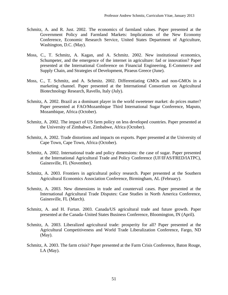- Schmitz, A. and R. Just. 2002. The economics of farmland values. Paper presented at the Government Policy and Farmland Markets: Implications of the New Economy Conference, Economic Research Service, United States Department of Agriculture, Washington, D.C. (May).
- Moss, C., T. Schmitz, A. Kagan, and A. Schmitz. 2002. New institutional economics, Schumpeter, and the emergence of the internet in agriculture: fad or innovation? Paper presented at the International Conference on Financial Engineering, E-Commerce and Supply Chain, and Strategies of Development, Piraeus Greece (June).
- Moss, C., T. Schmitz, and A. Schmitz. 2002. Differentiating GMOs and non-GMOs in a marketing channel. Paper presented at the International Consortium on Agricultural Biotechnology Research, Ravello, Italy (July).
- Schmitz, A. 2002. Brazil as a dominant player in the world sweetener market: do prices matter? Paper presented at FAO/Mozambique Third International Sugar Conference, Maputo, Mozambique, Africa (October).
- Schmitz, A. 2002. The impact of US farm policy on less developed countries. Paper presented at the University of Zimbabwe, Zimbabwe, Africa (October).
- Schmitz, A. 2002. Trade distortions and impacts on exports. Paper presented at the University of Cape Town, Cape Town, Africa (October).
- Schmitz, A. 2002. International trade and policy dimensions: the case of sugar. Paper presented at the International Agricultural Trade and Policy Conference (UF/IFAS/FRED/IATPC), Gainesville, FL (November).
- Schmitz, A. 2003. Frontiers in agricultural policy research. Paper presented at the Southern Agricultural Economics Association Conference, Birmingham, AL (February).
- Schmitz, A. 2003. New dimensions in trade and countervail cases. Paper presented at the International Agricultural Trade Disputes: Case Studies in North America Conference, Gainesville, FL (March).
- Schmitz, A. and H. Furtan. 2003. Canada/US agricultural trade and future growth. Paper presented at the Canada–United States Business Conference, Bloomington, IN (April).
- Schmitz, A. 2003. Liberalized agricultural trade: prosperity for all? Paper presented at the Agricultural Competitiveness and World Trade Liberalization Conference, Fargo, ND (May).
- Schmitz, A. 2003. The farm crisis? Paper presented at the Farm Crisis Conference, Baton Rouge, LA (May).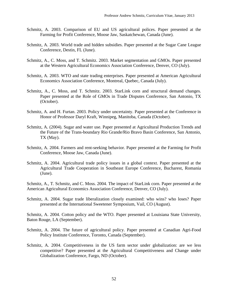- Schmitz, A. 2003. Comparison of EU and US agricultural polices. Paper presented at the Farming for Profit Conference, Moose Jaw, Saskatchewan, Canada (June).
- Schmitz, A. 2003. World trade and hidden subsidies. Paper presented at the Sugar Cane League Conference, Destin, FL (June).
- Schmitz, A., C. Moss, and T. Schmitz. 2003. Market segmentation and GMOs. Paper presented at the Western Agricultural Economics Association Conference, Denver, CO (July).
- Schmitz, A. 2003. WTO and state trading enterprises. Paper presented at American Agricultural Economics Association Conference, Montreal, Quebec, Canada (July).
- Schmitz, A., C. Moss, and T. Schmitz. 2003. StarLink corn and structural demand changes. Paper presented at the Role of GMOs in Trade Disputes Conference, San Antonio, TX (October).
- Schmitz, A. and H. Furtan. 2003. Policy under uncertainty. Paper presented at the Conference in Honor of Professor Daryl Kraft, Winnipeg, Manitoba, Canada (October).
- Schmitz, A. (2004). Sugar and water use. Paper presented at Agricultural Production Trends and the Future of the Trans-boundary Rio Grande/Rio Bravo Basin Conference, San Antonio, TX (May).
- Schmitz, A. 2004. Farmers and rent-seeking behavior. Paper presented at the Farming for Profit Conference, Moose Jaw, Canada (June).
- Schmitz, A. 2004. Agricultural trade policy issues in a global context. Paper presented at the Agricultural Trade Cooperation in Southeast Europe Conference, Bucharest, Romania (June).

Schmitz, A., T. Schmitz, and C. Moss. 2004. The impact of StarLink corn. Paper presented at the American Agricultural Economics Association Conference, Denver, CO (July).

Schmitz, A. 2004. Sugar trade liberalization closely examined: who wins? who loses? Paper presented at the International Sweetener Symposium, Vail, CO (August).

Schmitz, A. 2004. Cotton policy and the WTO. Paper presented at Louisiana State University, Baton Rouge, LA (September).

- Schmitz, A. 2004. The future of agricultural policy. Paper presented at Canadian Agri-Food Policy Institute Conference, Toronto, Canada (September).
- Schmitz, A. 2004. Competitiveness in the US farm sector under globalization: are we less competitive? Paper presented at the Agricultural Competitiveness and Change under Globalization Conference, Fargo, ND (October).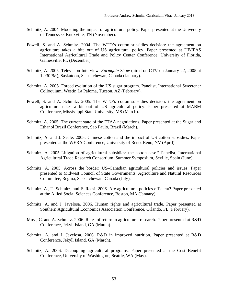- Schmitz, A. 2004. Modeling the impact of agricultural policy. Paper presented at the University of Tennessee, Knoxville, TN (November).
- Powell, S. and A. Schmitz. 2004. The WTO's cotton subsidies decision: the agreement on agriculture takes a bite out of US agricultural policy. Paper presented at UF/IFAS International Agricultural Trade and Policy Center Conference, University of Florida, Gainesville, FL (December).
- Schmitz, A. 2005. Television Interview, *Farmgate Show* (aired on CTV on January 22, 2005 at 12:30PM), Saskatoon, Saskatchewan, Canada (January).
- Schmitz, A. 2005. Forced evolution of the US sugar program. Panelist, International Sweetener Colloquium, Westin La Paloma, Tucson, AZ (February).
- Powell, S. and A. Schmitz. 2005. The WTO's cotton subsidies decision: the agreement on agriculture takes a bit out of US agricultural policy. Paper presented at MABM Conference, Mississippi State University, MS (March).
- Schmitz, A. 2005. The current state of the FTAA negotiations. Paper presented at the Sugar and Ethanol Brazil Conference, Sao Paulo, Brazil (March).
- Schmitz, A. and J. Seale. 2005. Chinese cotton and the impact of US cotton subsidies. Paper presented at the WERA Conference, University of Reno, Reno, NV (April).
- Schmitz, A. 2005 Litigation of agricultural subsidies: the cotton case." Panelist, International Agricultural Trade Research Consortium, Summer Symposium, Seville, Spain (June).
- Schmitz, A. 2005. Across the border: US–Canadian agricultural policies and issues. Paper presented to Midwest Council of State Governments, Agriculture and Natural Resources Committee, Regina, Saskatchewan, Canada (July).
- Schmitz, A., T. Schmitz, and F. Rossi. 2006. Are agricultural policies efficient? Paper presented at the Allied Social Sciences Conference, Boston, MA (January).
- Schmitz, A. and J. Javelosa. 2006. Human rights and agricultural trade. Paper presented at Southern Agricultural Economics Association Conference, Orlando, FL (February).
- Moss, C. and A. Schmitz. 2006. Rates of return to agricultural research. Paper presented at R&D Conference, Jekyll Island, GA (March).
- Schmitz, A. and J. Javelosa. 2006. R&D in improved nutrition. Paper presented at R&D Conference, Jekyll Island, GA (March).
- Schmitz, A. 2006. Decoupling agricultural programs. Paper presented at the Cost Benefit Conference, University of Washington, Seattle, WA (May).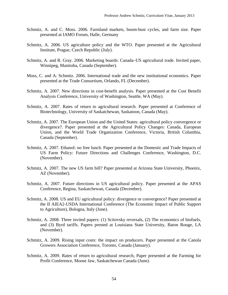- Schmitz, A. and C. Moss. 2006. Farmland markets, boom-bust cycles, and farm size. Paper presented at IAMO Forum, Halle, Germany
- Schmitz, A. 2006. US agriculture policy and the WTO. Paper presented at the Agricultural Institute, Prague, Czech Republic (July).
- Schmitz, A. and R. Gray. 2006. Marketing boards: Canada–US agricultural trade. Invited paper, Winnipeg, Manitoba, Canada (September).
- Moss, C. and A. Schmitz. 2006. International trade and the new institutional economics. Paper presented at the Trade Consortium, Orlando, FL (December).
- Schmitz, A. 2007. New directions in cost-benefit analysis. Paper presented at the Cost Benefit Analysis Conference, University of Washington, Seattle, WA (May).
- Schmitz, A. 2007. Rates of return to agricultural research. Paper presented at Conference of Biotechnology, University of Saskatchewan, Saskatoon, Canada (May).
- Schmitz, A. 2007. The European Union and the United States: agricultural policy convergence or divergence?. Paper presented at the Agricultural Policy Changes: Canada, European Union, and the World Trade Organization Conference, Victoria, British Columbia, Canada (September).
- Schmitz, A. 2007. Ethanol: no free lunch. Paper presented at the Domestic and Trade Impacts of US Farm Policy: Future Directions and Challenges Conference, Washington, D.C. (November).
- Schmitz, A. 2007. The new US farm bill? Paper presented at Arizona State University, Phoenix, AZ (November).
- Schmitz, A. 2007. Future directions in US agricultural policy. Paper presented at the APAS Conference, Regina, Saskatchewan, Canada (December).
- Schmitz, A. 2008. US and EU agricultural policy: divergence or convergence? Paper presented at the II AIEA2-USDA International Conference (The Economic Impact of Public Support to Agriculture), Bologna, Italy (June).
- Schmitz, A. 2008. Three invited papers: (1) Scitovsky reversals, (2) The economics of biofuels, and (3) Byrd tariffs. Papers prested at Louisiana State University, Baton Rouge, LA (November).
- Schmitz, A. 2009. Rising input costs: the impact on producers. Paper presented at the Canola Growers Association Conference, Toronto, Canada (January).
- Schmitz, A. 2009. Rates of return to agricultural research, Paper presented at the Farming for Profit Conference, Moose Jaw, Saskatchewan Canada (June).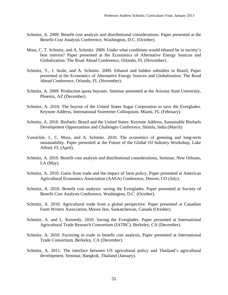- Schmitz, A. 2009. Benefit cost analysis and distributional considerations. Paper presented at the Benefit-Cost Analysis Conference, Washington, D.C. (October).
- Moss, C. T. Schmitz, and A. Schmitz. 2009. Under what conditions would ethanol be in society's best interest? Paper presented at the Economics of Alternative Energy Sources and Globalization: The Road Ahead Conference, Orlando, FL (November).
- Schmitz, T., J. Seale, and A. Schmitz. 2009. Ethanol and hidden subsidies in Brazil, Paper presented at the Economics of Alternative Energy Sources and Globalization: The Road Ahead Conference, Orlando, FL (November).
- Schmitz, A. 2009. Production quota buyouts. Seminar presented at the Arizona State University, Phoenix, AZ (December).
- Schmitz, A. 2010. The buyout of the United States Sugar Corporation to save the Everglades. Keynote Address, International Sweetener Colloquium, Miami, FL (February).
- Schmitz, A. 2010. Biofuels: Brazil and the United States. Keynote Address, Sustainable Biofuels Development Opportunities and Challenges Conference, Shimla, India (March)
- Vansickle, J., C. Moss, and A. Schmitz. 2010. The economics of greening and long-term sustainability. Paper presented at the Future of the Global OJ Industry Workshop, Lake Alfred, FL (April).
- Schmitz, A. 2010. Benefit cost analysis and distributional considerations, Seminar, New Orleans, LA (May).
- Schmitz, A. 2010. Gains from trade and the impact of farm policy, Paper presented at American Agricultural Economics Association (AAEA) Conference, Denver, CO (July).
- Schmitz, A. 2010. Benefit cost analysis: saving the Everglades. Paper presented at Society of Benefit Cost Analysts Conference, Washington, D.C. (October).
- Schmitz, A. 2010. Agricultural trade from a global perspective. Paper presented at Canadian Farm Writers Association, Moose Jaw, Saskatchewan, Canada (October).
- Schmitz, A. and L. Kennedy. 2010. Saving the Everglades. Paper presented at International Agricultural Trade Research Consortium (IATRC), Berkeley, CA (December).
- Schmitz, A. 2010. Factoring in trade in benefit cost analysis, Paper presented at International Trade Consortium, Berkeley, CA (December).
- Schmitz, A. 2011. The interface between US agricultural policy and Thailand's agricultural development, Seminar, Bangkok, Thailand (January).